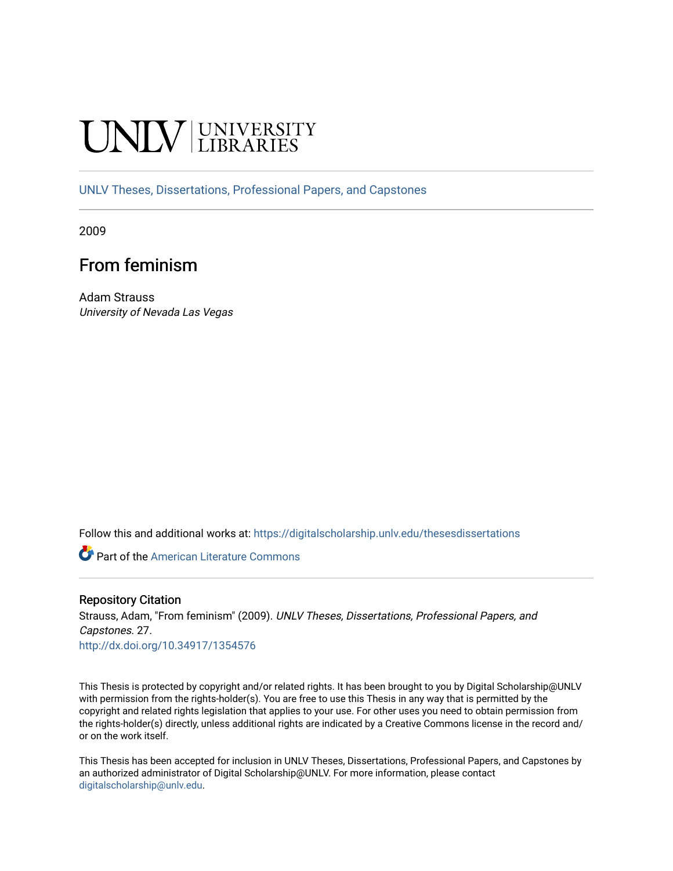# **INIVERSITY**

[UNLV Theses, Dissertations, Professional Papers, and Capstones](https://digitalscholarship.unlv.edu/thesesdissertations)

2009

## From feminism

Adam Strauss University of Nevada Las Vegas

Follow this and additional works at: [https://digitalscholarship.unlv.edu/thesesdissertations](https://digitalscholarship.unlv.edu/thesesdissertations?utm_source=digitalscholarship.unlv.edu%2Fthesesdissertations%2F27&utm_medium=PDF&utm_campaign=PDFCoverPages)

Part of the [American Literature Commons](http://network.bepress.com/hgg/discipline/441?utm_source=digitalscholarship.unlv.edu%2Fthesesdissertations%2F27&utm_medium=PDF&utm_campaign=PDFCoverPages)

#### Repository Citation

Strauss, Adam, "From feminism" (2009). UNLV Theses, Dissertations, Professional Papers, and Capstones. 27.

<http://dx.doi.org/10.34917/1354576>

This Thesis is protected by copyright and/or related rights. It has been brought to you by Digital Scholarship@UNLV with permission from the rights-holder(s). You are free to use this Thesis in any way that is permitted by the copyright and related rights legislation that applies to your use. For other uses you need to obtain permission from the rights-holder(s) directly, unless additional rights are indicated by a Creative Commons license in the record and/ or on the work itself.

This Thesis has been accepted for inclusion in UNLV Theses, Dissertations, Professional Papers, and Capstones by an authorized administrator of Digital Scholarship@UNLV. For more information, please contact [digitalscholarship@unlv.edu](mailto:digitalscholarship@unlv.edu).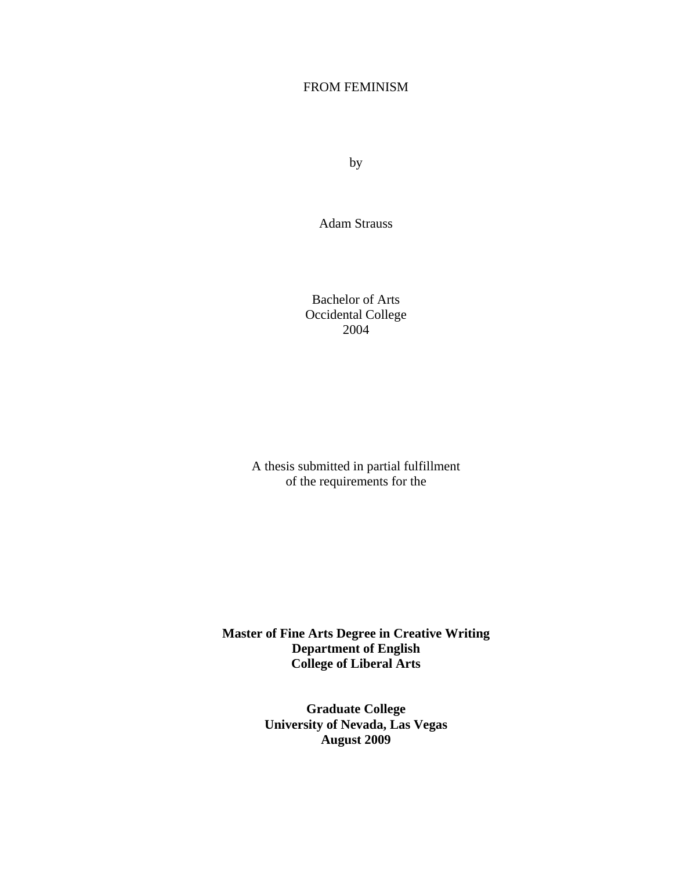## FROM FEMINISM

by

Adam Strauss

Bachelor of Arts Occidental College 2004

A thesis submitted in partial fulfillment of the requirements for the

**Master of Fine Arts Degree in Creative Writing Department of English College of Liberal Arts** 

> **Graduate College University of Nevada, Las Vegas August 2009**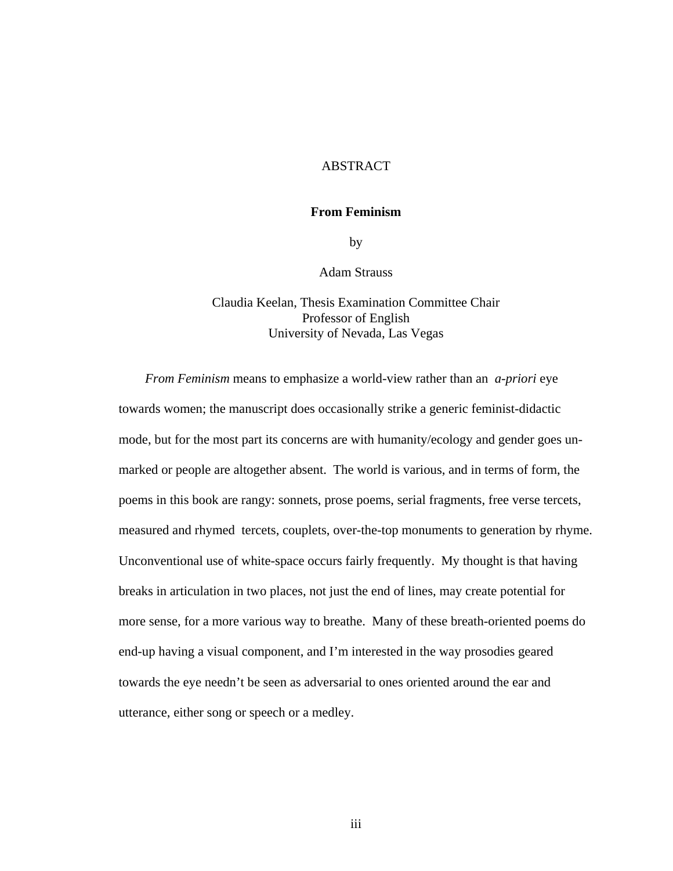## ABSTRACT

#### **From Feminism**

by

#### Adam Strauss

## Claudia Keelan, Thesis Examination Committee Chair Professor of English University of Nevada, Las Vegas

 *From Feminism* means to emphasize a world-view rather than an *a-priori* eye towards women; the manuscript does occasionally strike a generic feminist-didactic mode, but for the most part its concerns are with humanity/ecology and gender goes unmarked or people are altogether absent. The world is various, and in terms of form, the poems in this book are rangy: sonnets, prose poems, serial fragments, free verse tercets, measured and rhymed tercets, couplets, over-the-top monuments to generation by rhyme. Unconventional use of white-space occurs fairly frequently. My thought is that having breaks in articulation in two places, not just the end of lines, may create potential for more sense, for a more various way to breathe. Many of these breath-oriented poems do end-up having a visual component, and I'm interested in the way prosodies geared towards the eye needn't be seen as adversarial to ones oriented around the ear and utterance, either song or speech or a medley.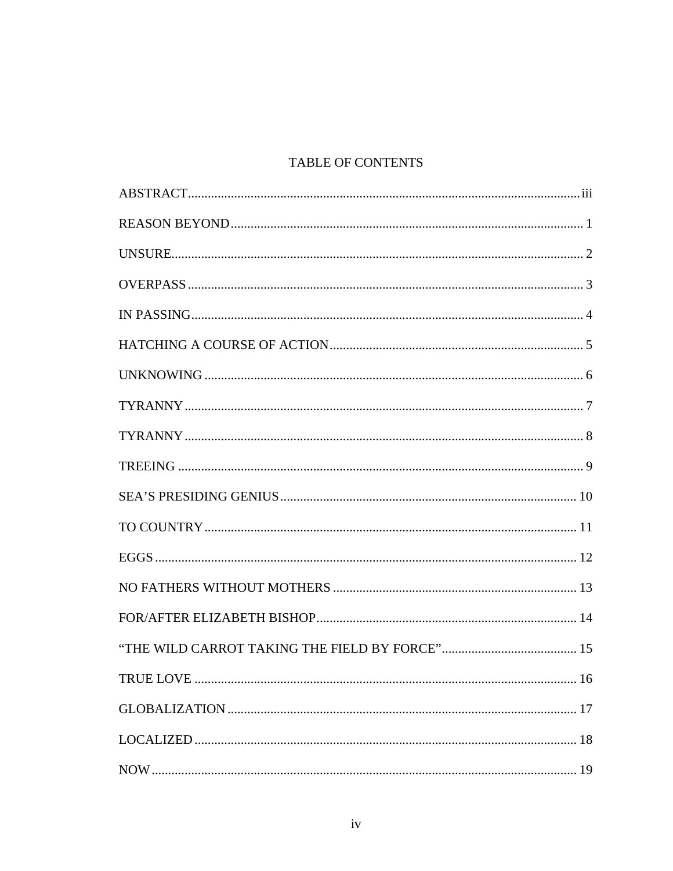## TABLE OF CONTENTS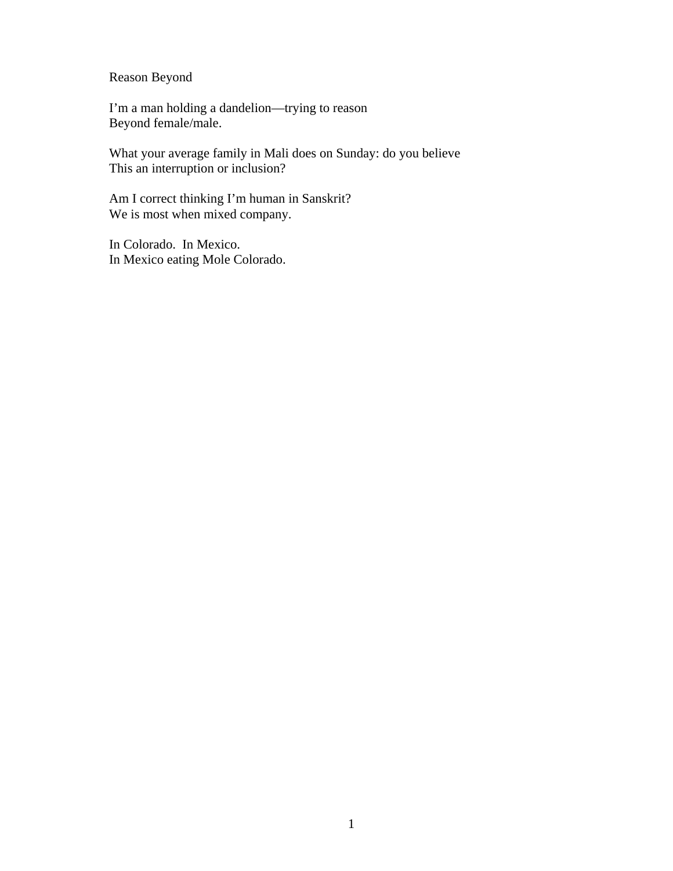Reason Beyond

I'm a man holding a dandelion—trying to reason Beyond female/male.

What your average family in Mali does on Sunday: do you believe This an interruption or inclusion?

Am I correct thinking I'm human in Sanskrit? We is most when mixed company.

In Colorado. In Mexico. In Mexico eating Mole Colorado.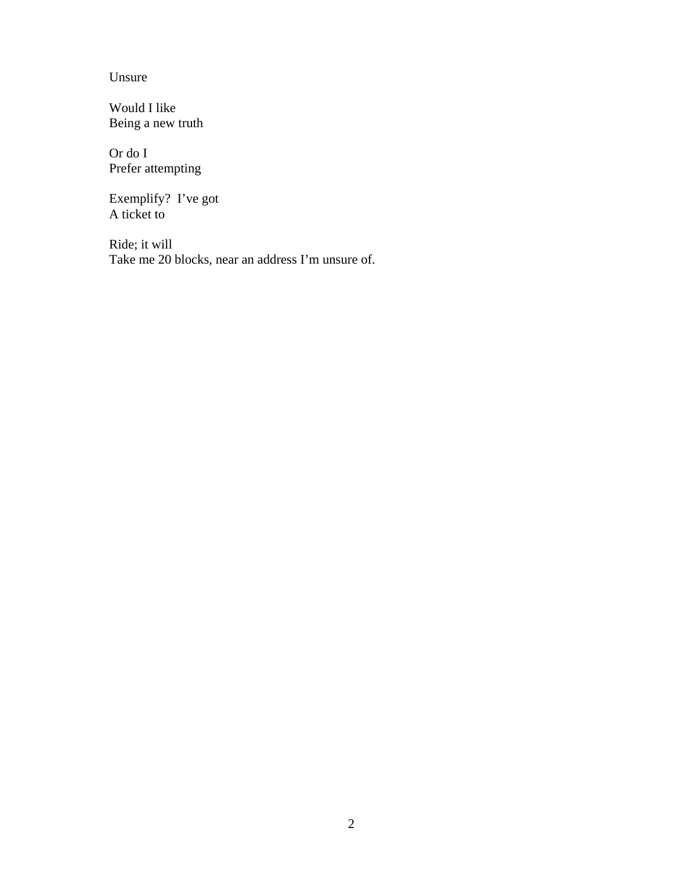Unsure

Would I like Being a new truth

Or do I Prefer attempting

Exemplify? I've got A ticket to

Ride; it will Take me 20 blocks, near an address I'm unsure of.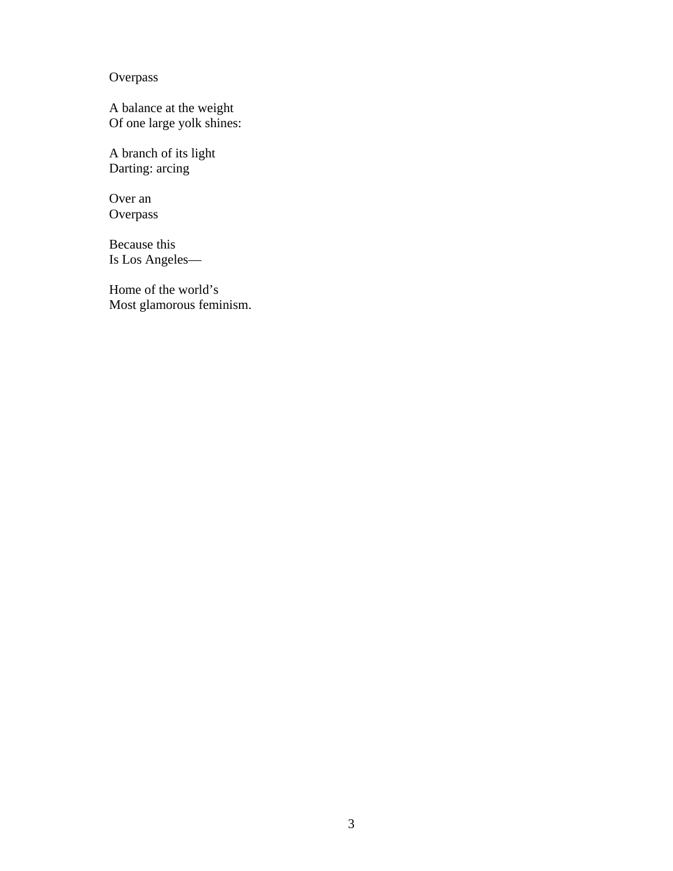**Overpass** 

A balance at the weight Of one large yolk shines:

A branch of its light Darting: arcing

Over an Overpass

Because this Is Los Angeles—

Home of the world's Most glamorous feminism.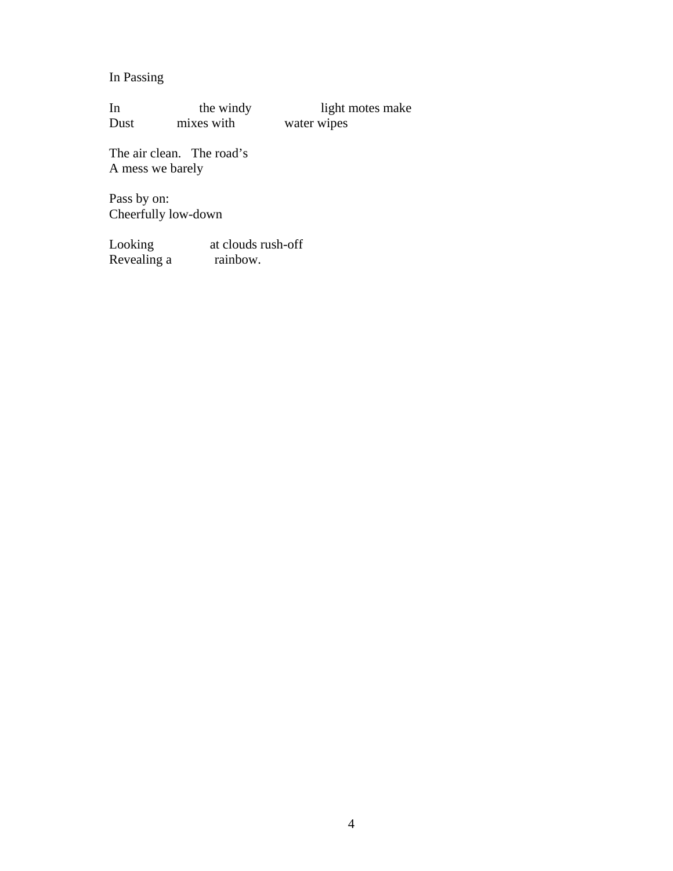## In Passing

In the windy light motes make<br>Dust mixes with water wipes water wipes

The air clean. The road's A mess we barely

Pass by on: Cheerfully low-down

Looking at clouds rush-off Revealing a rainbow.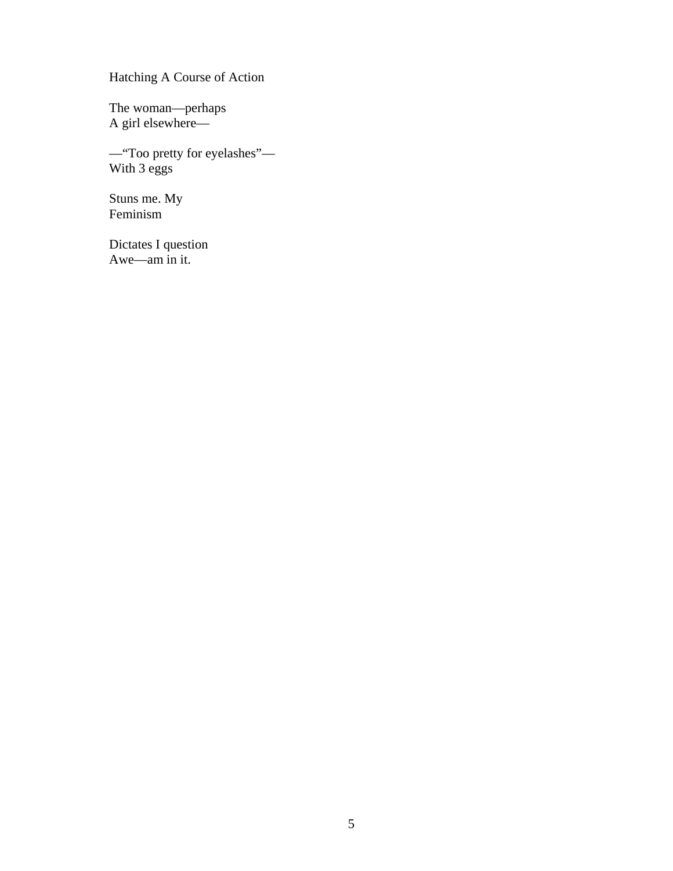Hatching A Course of Action

The woman—perhaps A girl elsewhere—

—"Too pretty for eyelashes"— With 3 eggs

Stuns me. My Feminism

Dictates I question Awe—am in it.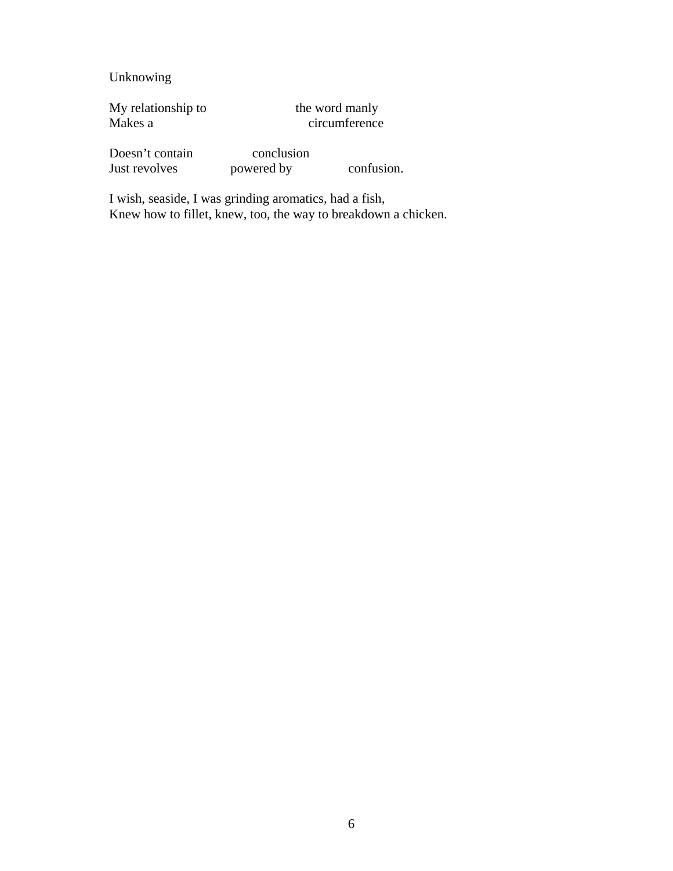Unknowing

My relationship to the word manly<br>Makes a circumference

circumference

Doesn't contain conclusion<br>Just revolves powered by Just revolves powered by confusion.

I wish, seaside, I was grinding aromatics, had a fish, Knew how to fillet, knew, too, the way to breakdown a chicken.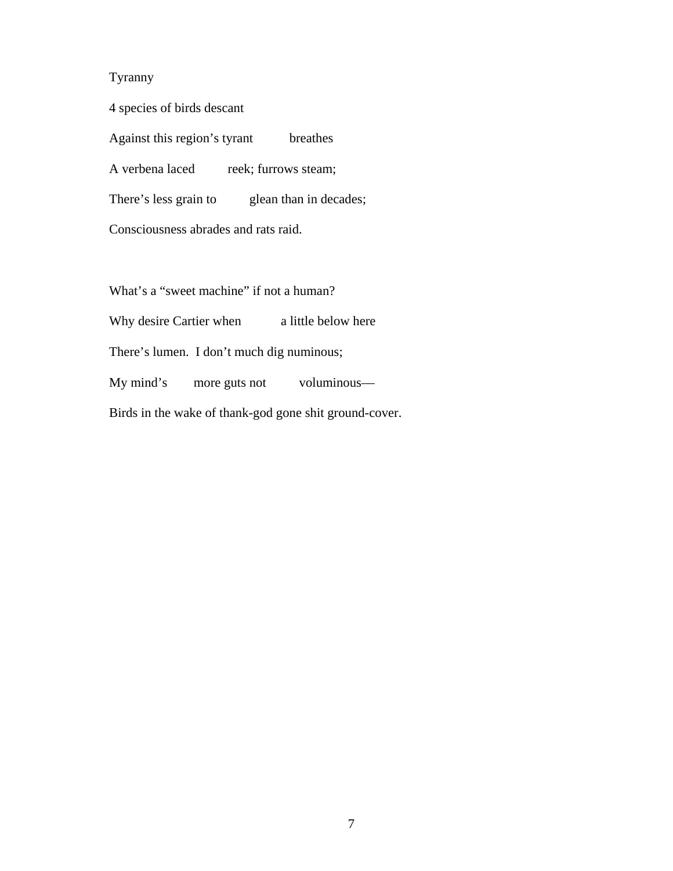## Tyranny

4 species of birds descant

Against this region's tyrant breathes

A verbena laced reek; furrows steam;

There's less grain to glean than in decades;

Consciousness abrades and rats raid.

What's a "sweet machine" if not a human?

Why desire Cartier when a little below here

There's lumen. I don't much dig numinous;

My mind's more guts not voluminous—

Birds in the wake of thank-god gone shit ground-cover.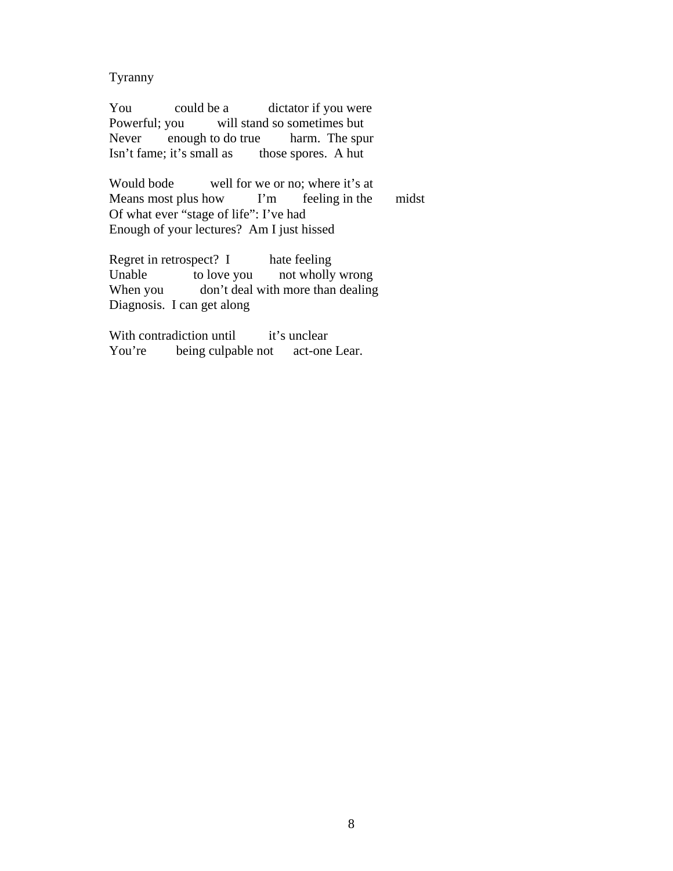Tyranny

You could be a dictator if you were Powerful; you will stand so sometimes but Never enough to do true harm. The spur Isn't fame; it's small as those spores. A hut

Would bode well for we or no; where it's at Means most plus how I'm feeling in the midst Of what ever "stage of life": I've had Enough of your lectures? Am I just hissed

Regret in retrospect? I hate feeling Unable to love you not wholly wrong When you don't deal with more than dealing Diagnosis. I can get along

With contradiction until it's unclear You're being culpable not act-one Lear.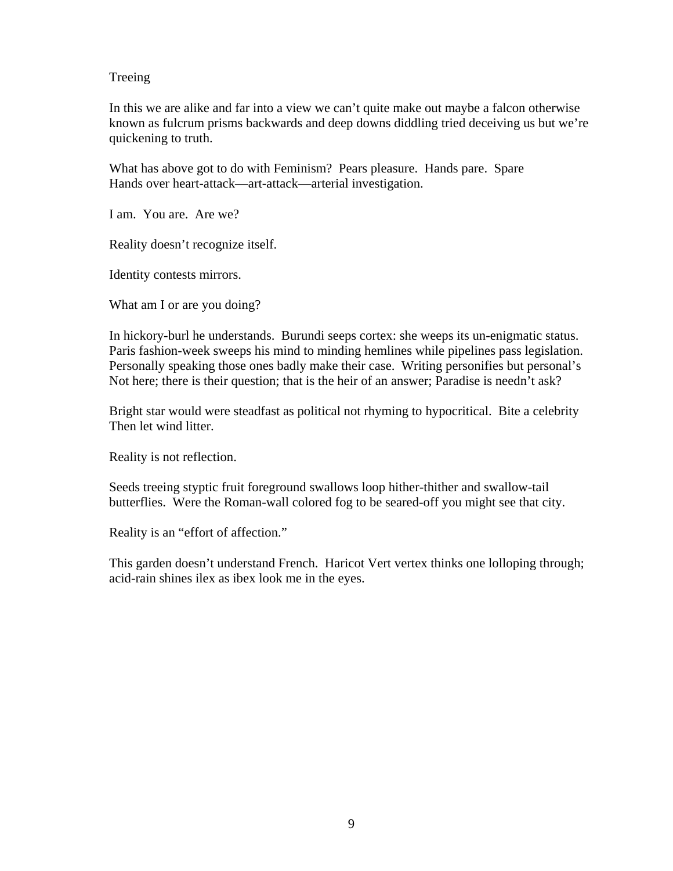## Treeing

In this we are alike and far into a view we can't quite make out maybe a falcon otherwise known as fulcrum prisms backwards and deep downs diddling tried deceiving us but we're quickening to truth.

What has above got to do with Feminism? Pears pleasure. Hands pare. Spare Hands over heart-attack—art-attack—arterial investigation.

I am. You are. Are we?

Reality doesn't recognize itself.

Identity contests mirrors.

What am I or are you doing?

In hickory-burl he understands. Burundi seeps cortex: she weeps its un-enigmatic status. Paris fashion-week sweeps his mind to minding hemlines while pipelines pass legislation. Personally speaking those ones badly make their case. Writing personifies but personal's Not here; there is their question; that is the heir of an answer; Paradise is needn't ask?

Bright star would were steadfast as political not rhyming to hypocritical. Bite a celebrity Then let wind litter.

Reality is not reflection.

Seeds treeing styptic fruit foreground swallows loop hither-thither and swallow-tail butterflies. Were the Roman-wall colored fog to be seared-off you might see that city.

Reality is an "effort of affection."

This garden doesn't understand French. Haricot Vert vertex thinks one lolloping through; acid-rain shines ilex as ibex look me in the eyes.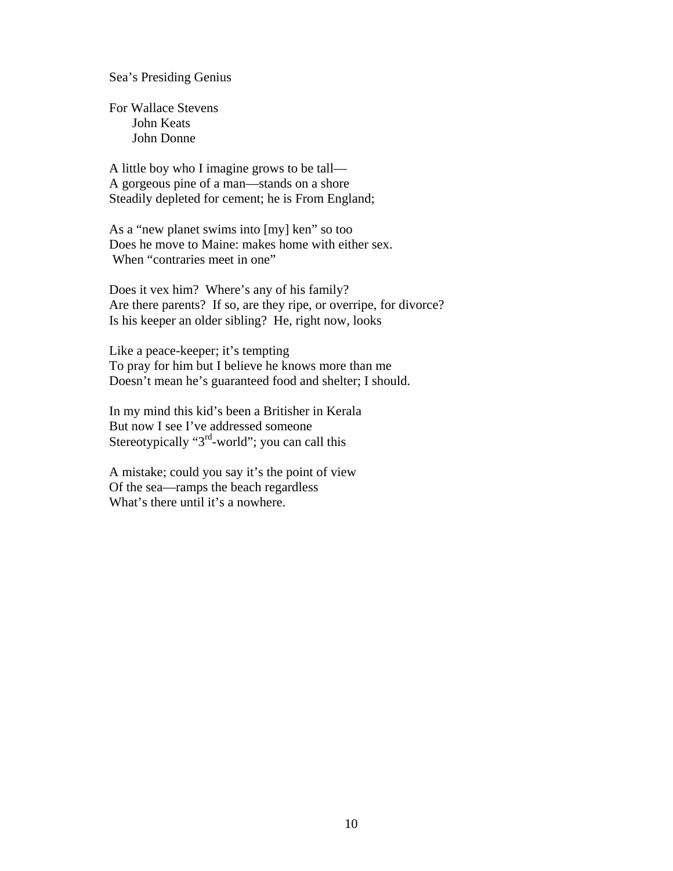Sea's Presiding Genius

For Wallace Stevens John Keats John Donne

A little boy who I imagine grows to be tall— A gorgeous pine of a man—stands on a shore Steadily depleted for cement; he is From England;

As a "new planet swims into [my] ken" so too Does he move to Maine: makes home with either sex. When "contraries meet in one"

Does it vex him? Where's any of his family? Are there parents? If so, are they ripe, or overripe, for divorce? Is his keeper an older sibling? He, right now, looks

Like a peace-keeper; it's tempting To pray for him but I believe he knows more than me Doesn't mean he's guaranteed food and shelter; I should.

In my mind this kid's been a Britisher in Kerala But now I see I've addressed someone Stereotypically "3<sup>rd</sup>-world"; you can call this

A mistake; could you say it's the point of view Of the sea—ramps the beach regardless What's there until it's a nowhere.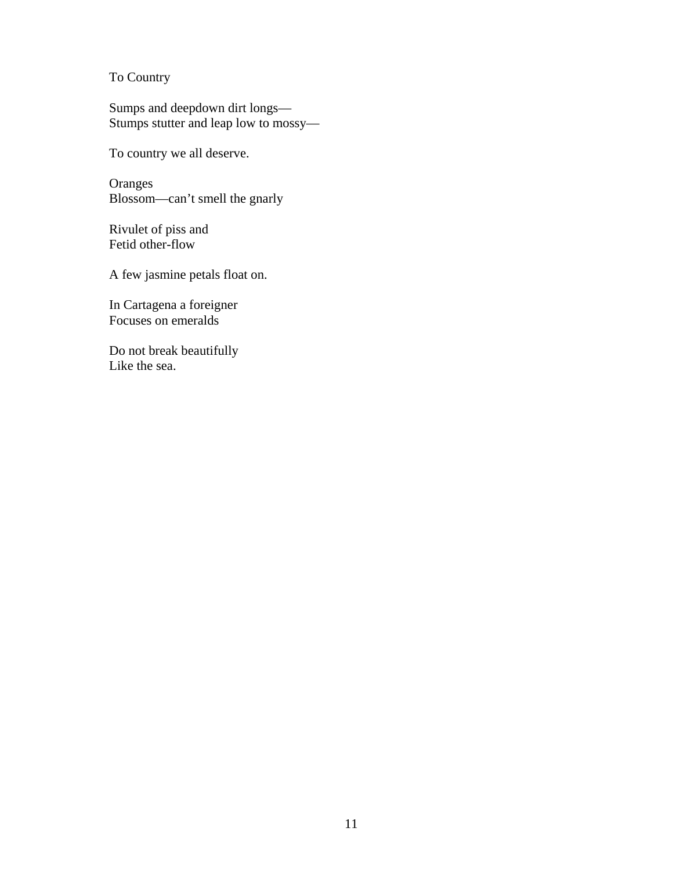To Country

Sumps and deepdown dirt longs— Stumps stutter and leap low to mossy—

To country we all deserve.

**Oranges** Blossom—can't smell the gnarly

Rivulet of piss and Fetid other-flow

A few jasmine petals float on.

In Cartagena a foreigner Focuses on emeralds

Do not break beautifully Like the sea.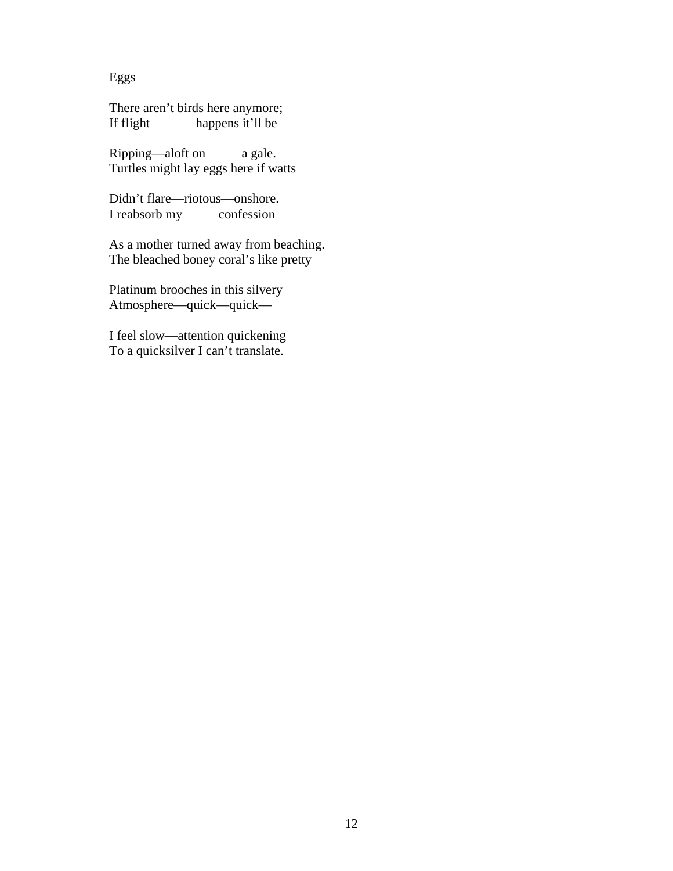Eggs

There aren't birds here anymore;<br>If flight happens it'll be happens it'll be

Ripping—aloft on a gale. Turtles might lay eggs here if watts

Didn't flare—riotous—onshore. I reabsorb my confession

As a mother turned away from beaching. The bleached boney coral's like pretty

Platinum brooches in this silvery Atmosphere—quick—quick—

I feel slow—attention quickening To a quicksilver I can't translate.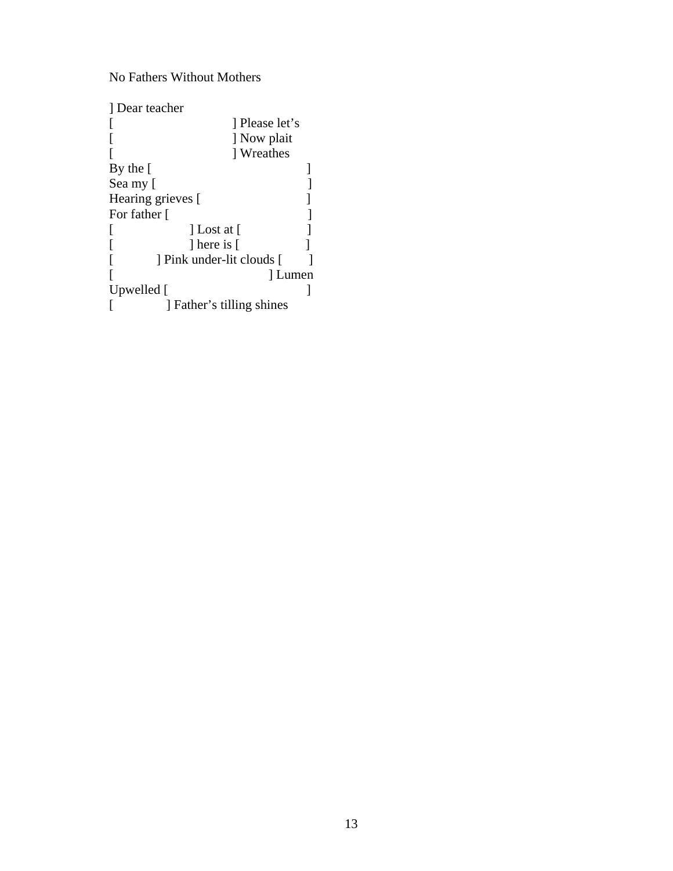No Fathers Without Mothers

| 1 Dear teacher            |              |  |
|---------------------------|--------------|--|
|                           | Please let's |  |
|                           | ] Now plait  |  |
|                           | Wreathes     |  |
| By the $\lceil$           |              |  |
| Sea my [                  |              |  |
| Hearing grieves [         |              |  |
| For father [              |              |  |
| $\vert$ Lost at $\vert$   |              |  |
| 1 here is [               |              |  |
| Pink under-lit clouds [   |              |  |
|                           | Lumen        |  |
| Upwelled [                |              |  |
| ] Father's tilling shines |              |  |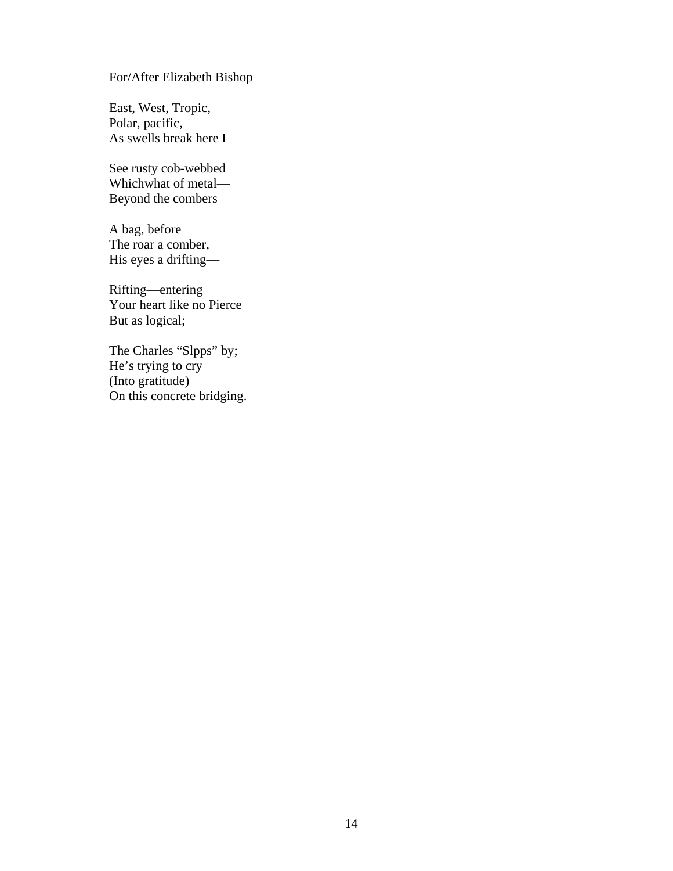## For/After Elizabeth Bishop

East, West, Tropic, Polar, pacific, As swells break here I

See rusty cob-webbed Whichwhat of metal— Beyond the combers

A bag, before The roar a comber, His eyes a drifting—

Rifting—entering Your heart like no Pierce But as logical;

The Charles "Slpps" by; He's trying to cry (Into gratitude) On this concrete bridging.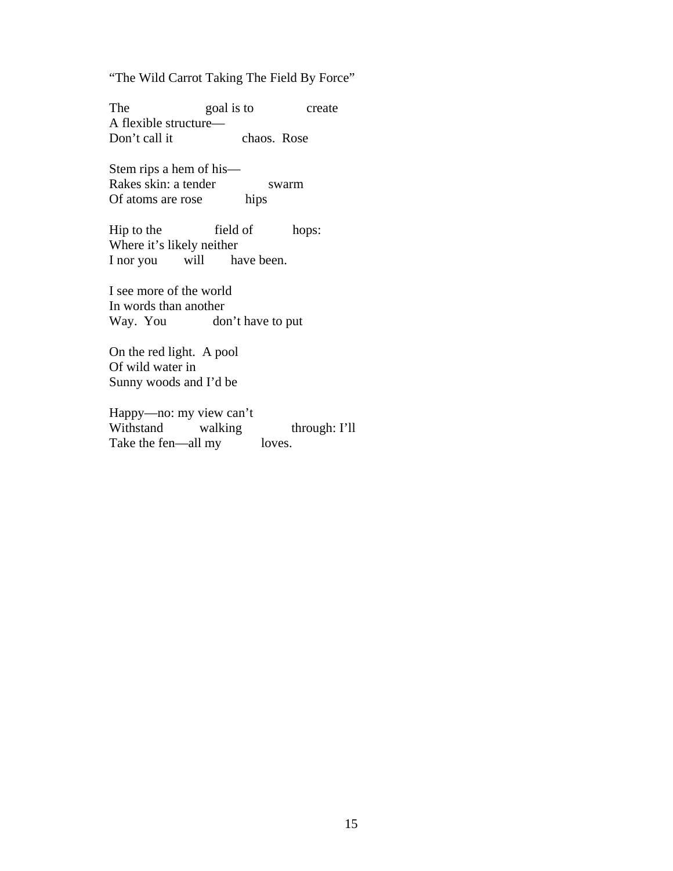"The Wild Carrot Taking The Field By Force"

The goal is to create A flexible structure— Don't call it chaos. Rose

Stem rips a hem of his— Rakes skin: a tender swarm Of atoms are rose hips

Hip to the field of hops: Where it's likely neither I nor you will have been.

I see more of the world In words than another don't have to put

On the red light. A pool Of wild water in Sunny woods and I'd be

Happy—no: my view can't Withstand walking through: I'll Take the fen—all my loves.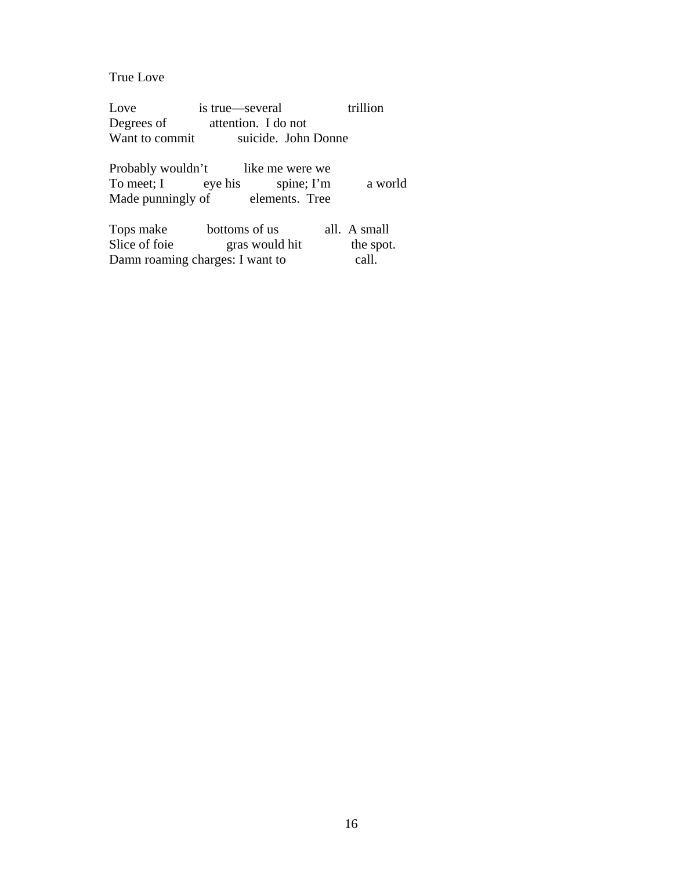True Love

Love is true—several trillion<br>Degrees of attention. I do not Degrees of attention. I do not<br>Want to commit suicide. John suicide. John Donne

Probably wouldn't like me were we<br>To meet; I eye his spine; I'm spine; I'm a world<br>elements. Tree Made punningly of

| Tops make     | bottoms of us                   | all. A small |
|---------------|---------------------------------|--------------|
| Slice of foie | gras would hit                  | the spot.    |
|               | Damn roaming charges: I want to | call.        |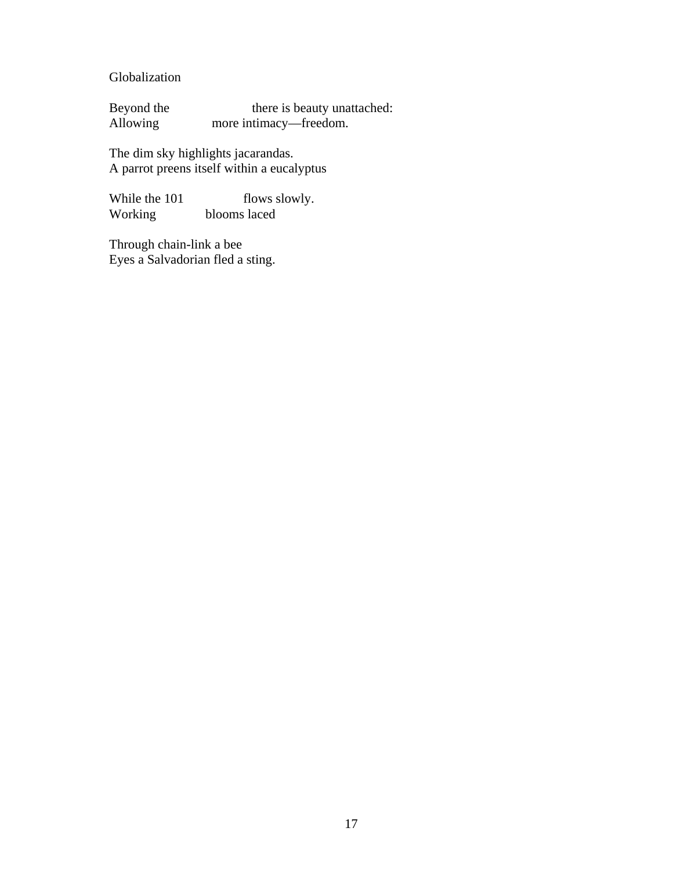Globalization

Beyond the there is beauty unattached:<br>Allowing more intimacy—freedom. more intimacy—freedom.

The dim sky highlights jacarandas. A parrot preens itself within a eucalyptus

While the 101 flows slowly.<br>Working blooms laced blooms laced

Through chain-link a bee Eyes a Salvadorian fled a sting.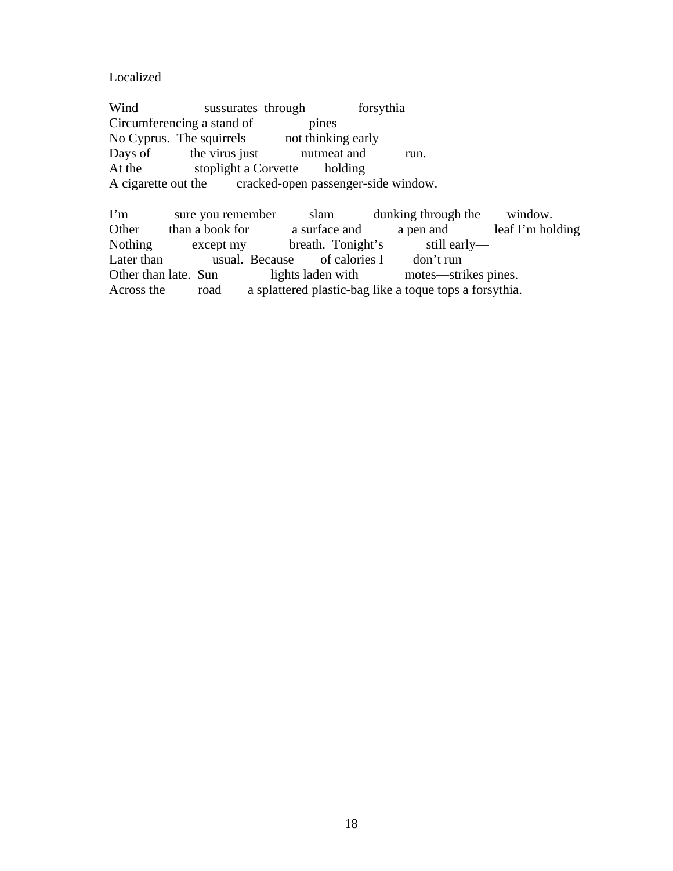Localized

Wind sussurates through forsythia Circumferencing a stand of pines No Cyprus. The squirrels not thinking early Days of the virus just nutmeat and run. At the stoplight a Corvette holding A cigarette out the cracked-open passenger-side window.

I'm sure you remember slam dunking through the window. Other than a book for a surface and a pen and leaf I'm holding Nothing except my breath. Tonight's still early— Later than usual. Because of calories I don't run Other than late. Sun lights laden with motes—strikes pines. Across the road a splattered plastic-bag like a toque tops a forsythia.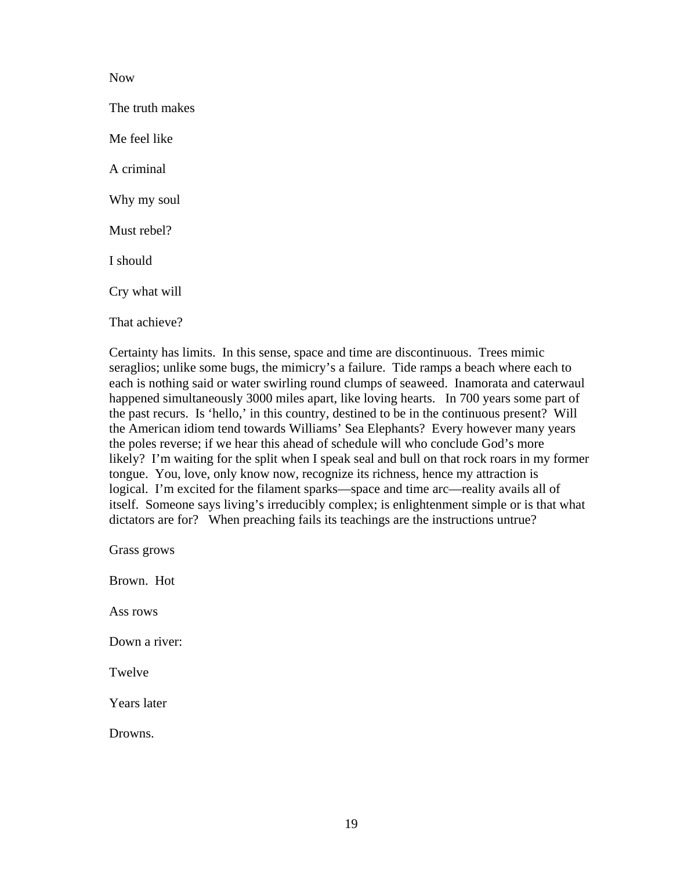#### Now

The truth makes Me feel like A criminal Why my soul Must rebel? I should Cry what will That achieve?

Certainty has limits. In this sense, space and time are discontinuous. Trees mimic seraglios; unlike some bugs, the mimicry's a failure. Tide ramps a beach where each to each is nothing said or water swirling round clumps of seaweed. Inamorata and caterwaul happened simultaneously 3000 miles apart, like loving hearts. In 700 years some part of the past recurs. Is 'hello,' in this country, destined to be in the continuous present? Will the American idiom tend towards Williams' Sea Elephants? Every however many years the poles reverse; if we hear this ahead of schedule will who conclude God's more likely? I'm waiting for the split when I speak seal and bull on that rock roars in my former tongue. You, love, only know now, recognize its richness, hence my attraction is logical. I'm excited for the filament sparks—space and time arc—reality avails all of itself. Someone says living's irreducibly complex; is enlightenment simple or is that what dictators are for? When preaching fails its teachings are the instructions untrue?

Grass grows Brown. Hot Ass rows Down a river: Twelve Years later Drowns.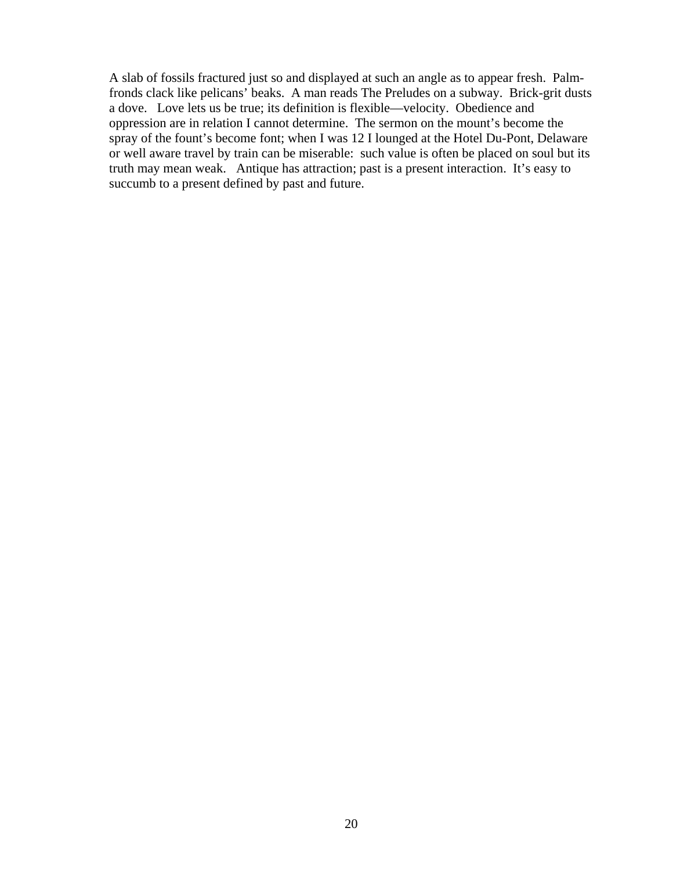A slab of fossils fractured just so and displayed at such an angle as to appear fresh. Palmfronds clack like pelicans' beaks. A man reads The Preludes on a subway. Brick-grit dusts a dove. Love lets us be true; its definition is flexible—velocity. Obedience and oppression are in relation I cannot determine. The sermon on the mount's become the spray of the fount's become font; when I was 12 I lounged at the Hotel Du-Pont, Delaware or well aware travel by train can be miserable: such value is often be placed on soul but its truth may mean weak. Antique has attraction; past is a present interaction. It's easy to succumb to a present defined by past and future.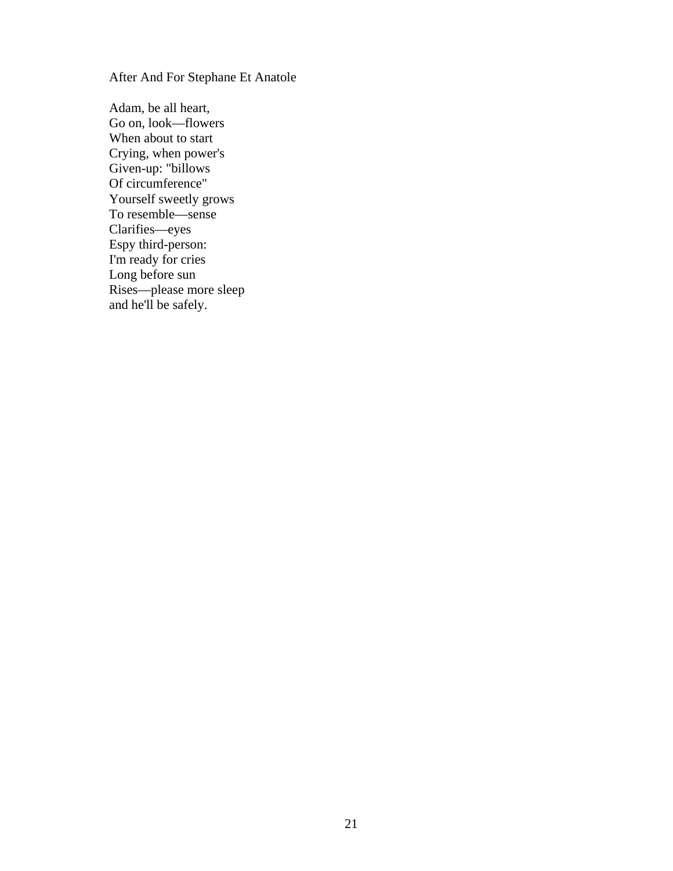After And For Stephane Et Anatole

Adam, be all heart, Go on, look—flowers When about to start Crying, when power's Given-up: "billows Of circumference" Yourself sweetly grows To resemble—sense Clarifies—eyes Espy third-person: I'm ready for cries Long before sun Rises—please more sleep and he'll be safely.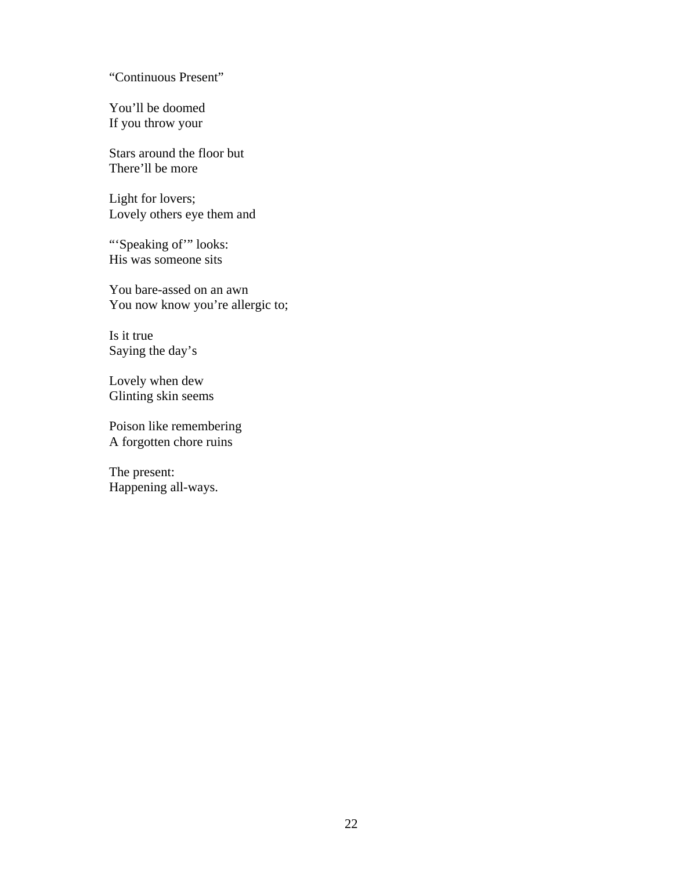"Continuous Present"

You'll be doomed If you throw your

Stars around the floor but There'll be more

Light for lovers; Lovely others eye them and

"Speaking of" looks: His was someone sits

You bare-assed on an awn You now know you're allergic to;

Is it true Saying the day's

Lovely when dew Glinting skin seems

Poison like remembering A forgotten chore ruins

The present: Happening all-ways.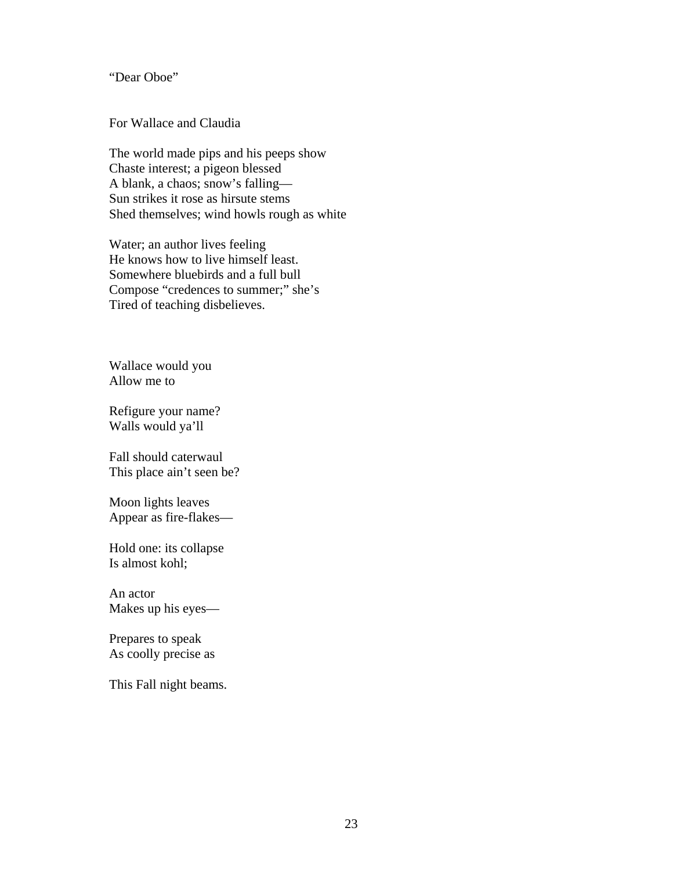"Dear Oboe"

For Wallace and Claudia

The world made pips and his peeps show Chaste interest; a pigeon blessed A blank, a chaos; snow's falling— Sun strikes it rose as hirsute stems Shed themselves; wind howls rough as white

Water; an author lives feeling He knows how to live himself least. Somewhere bluebirds and a full bull Compose "credences to summer;" she's Tired of teaching disbelieves.

Wallace would you Allow me to

Refigure your name? Walls would ya'll

Fall should caterwaul This place ain't seen be?

Moon lights leaves Appear as fire-flakes—

Hold one: its collapse Is almost kohl;

An actor Makes up his eyes—

Prepares to speak As coolly precise as

This Fall night beams.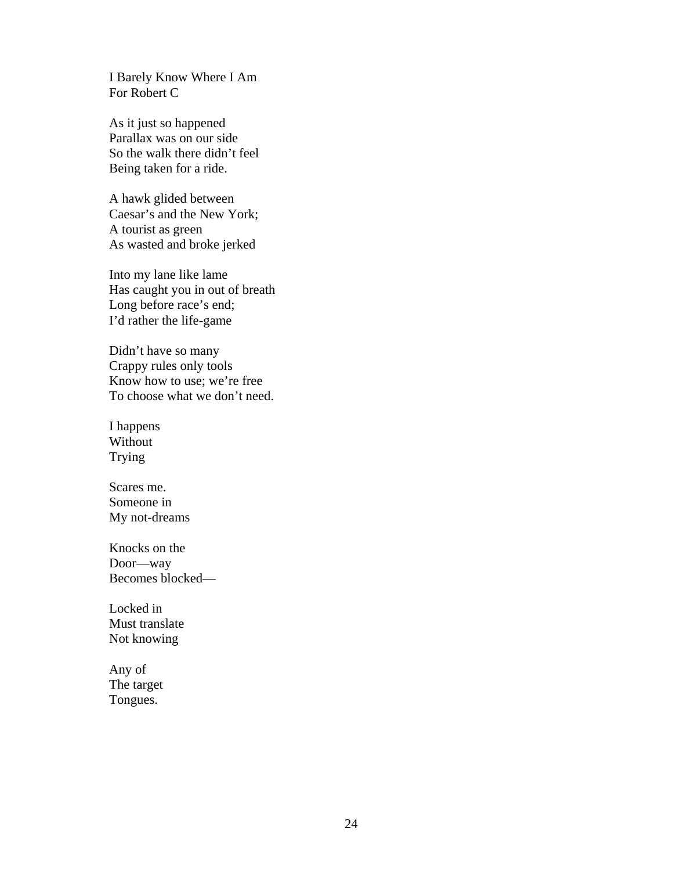I Barely Know Where I Am For Robert C

As it just so happened Parallax was on our side So the walk there didn't feel Being taken for a ride.

A hawk glided between Caesar's and the New York; A tourist as green As wasted and broke jerked

Into my lane like lame Has caught you in out of breath Long before race's end; I'd rather the life-game

Didn't have so many Crappy rules only tools Know how to use; we're free To choose what we don't need.

I happens Without Trying

Scares me. Someone in My not-dreams

Knocks on the Door—way Becomes blocked—

Locked in Must translate Not knowing

Any of The target Tongues.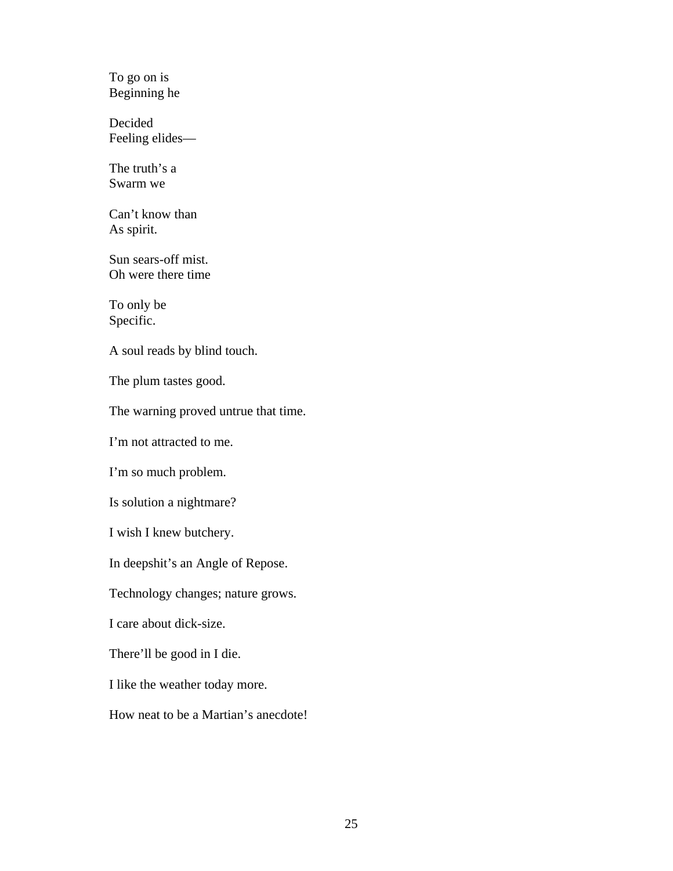To go on is Beginning he

Decided Feeling elides—

The truth's a Swarm we

Can't know than As spirit.

Sun sears-off mist. Oh were there time

To only be Specific.

A soul reads by blind touch.

The plum tastes good.

The warning proved untrue that time.

I'm not attracted to me.

I'm so much problem.

Is solution a nightmare?

I wish I knew butchery.

In deepshit's an Angle of Repose.

Technology changes; nature grows.

I care about dick-size.

There'll be good in I die.

I like the weather today more.

How neat to be a Martian's anecdote!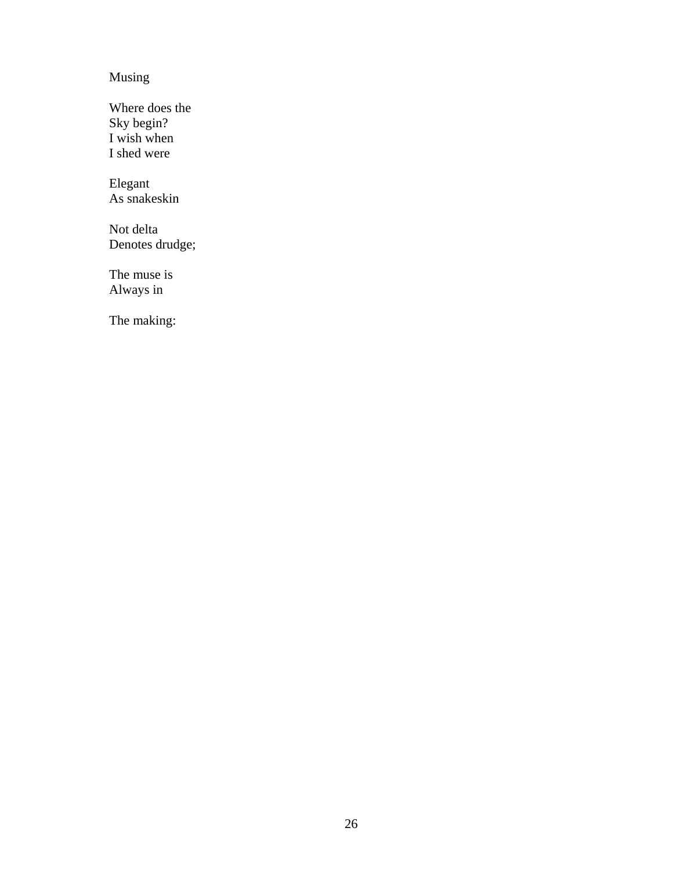## Musing

Where does the Sky begin? I wish when I shed were

Elegant As snakeskin

Not delta Denotes drudge;

The muse is Always in

The making: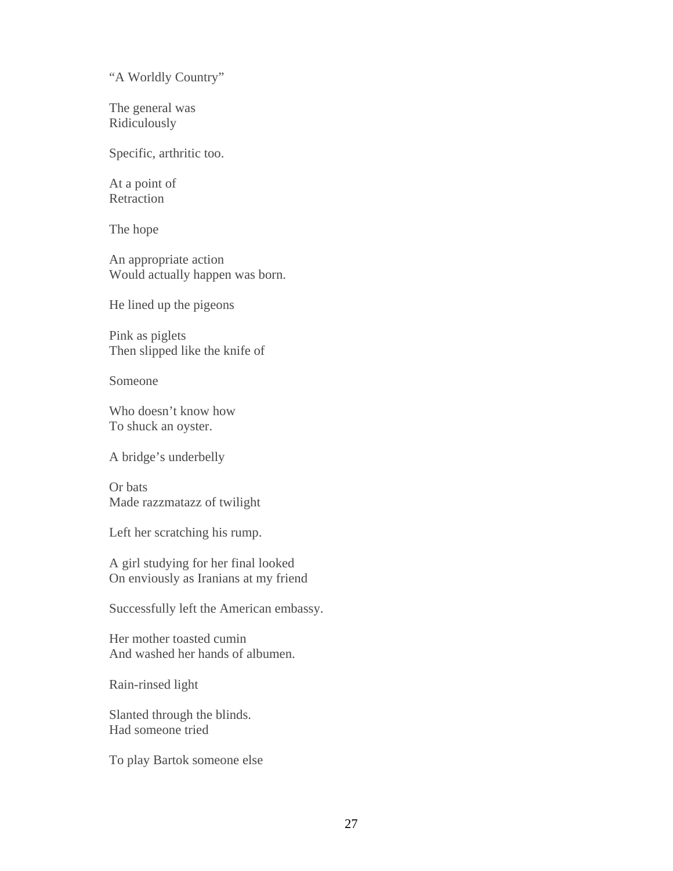"A Worldly Country"

The general was Ridiculously

Specific, arthritic too.

At a point of Retraction

The hope

An appropriate action Would actually happen was born.

He lined up the pigeons

Pink as piglets Then slipped like the knife of

Someone

Who doesn't know how To shuck an oyster.

A bridge's underbelly

Or bats Made razzmatazz of twilight

Left her scratching his rump.

A girl studying for her final looked On enviously as Iranians at my friend

Successfully left the American embassy.

Her mother toasted cumin And washed her hands of albumen.

Rain-rinsed light

Slanted through the blinds. Had someone tried

To play Bartok someone else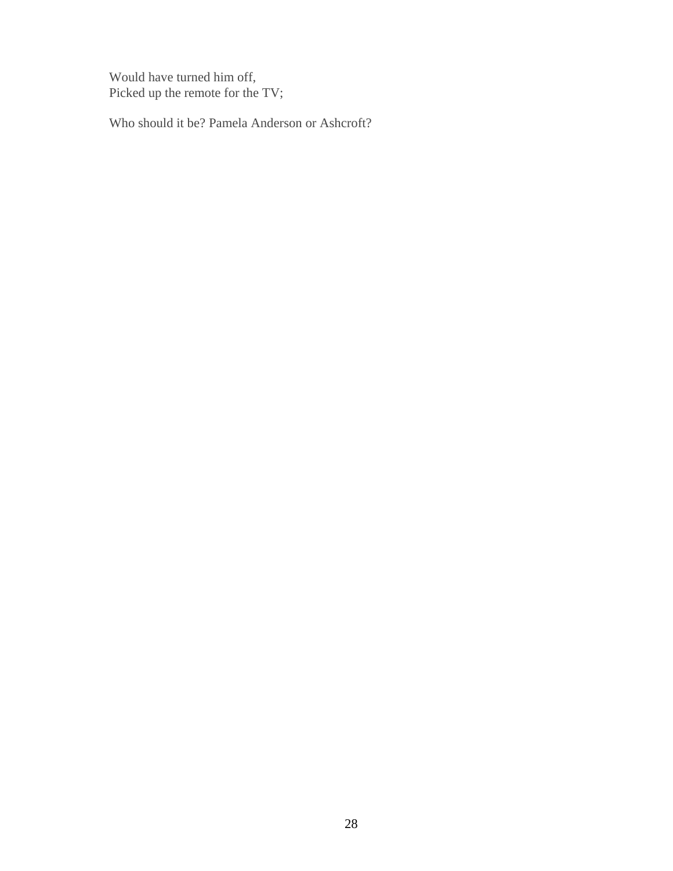Would have turned him off, Picked up the remote for the TV;

Who should it be? Pamela Anderson or Ashcroft?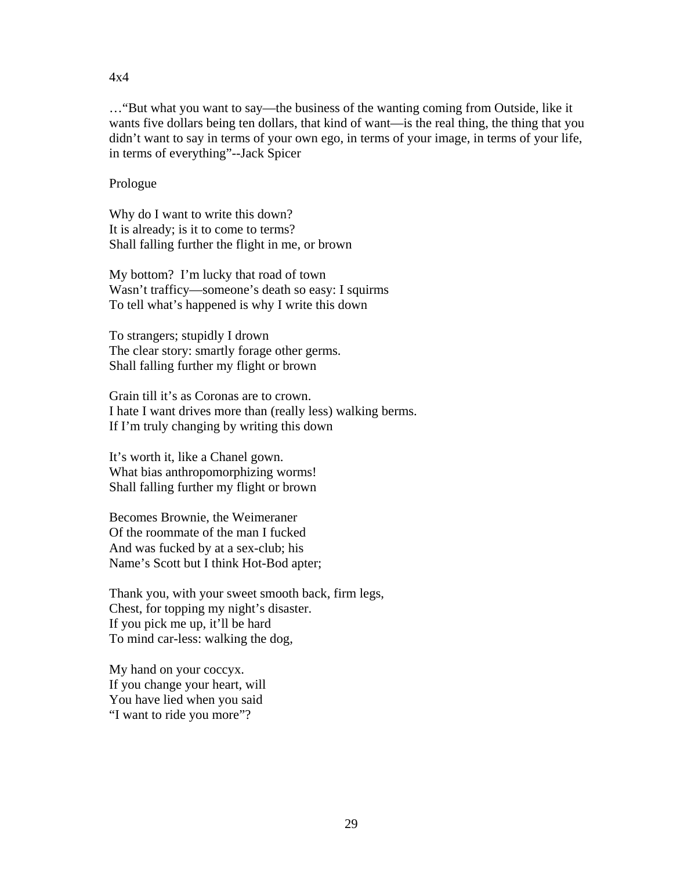#### 4x4

…"But what you want to say—the business of the wanting coming from Outside, like it wants five dollars being ten dollars, that kind of want—is the real thing, the thing that you didn't want to say in terms of your own ego, in terms of your image, in terms of your life, in terms of everything"--Jack Spicer

## Prologue

Why do I want to write this down? It is already; is it to come to terms? Shall falling further the flight in me, or brown

My bottom? I'm lucky that road of town Wasn't trafficy—someone's death so easy: I squirms To tell what's happened is why I write this down

To strangers; stupidly I drown The clear story: smartly forage other germs. Shall falling further my flight or brown

Grain till it's as Coronas are to crown. I hate I want drives more than (really less) walking berms. If I'm truly changing by writing this down

It's worth it, like a Chanel gown. What bias anthropomorphizing worms! Shall falling further my flight or brown

Becomes Brownie, the Weimeraner Of the roommate of the man I fucked And was fucked by at a sex-club; his Name's Scott but I think Hot-Bod apter;

Thank you, with your sweet smooth back, firm legs, Chest, for topping my night's disaster. If you pick me up, it'll be hard To mind car-less: walking the dog,

My hand on your coccyx. If you change your heart, will You have lied when you said "I want to ride you more"?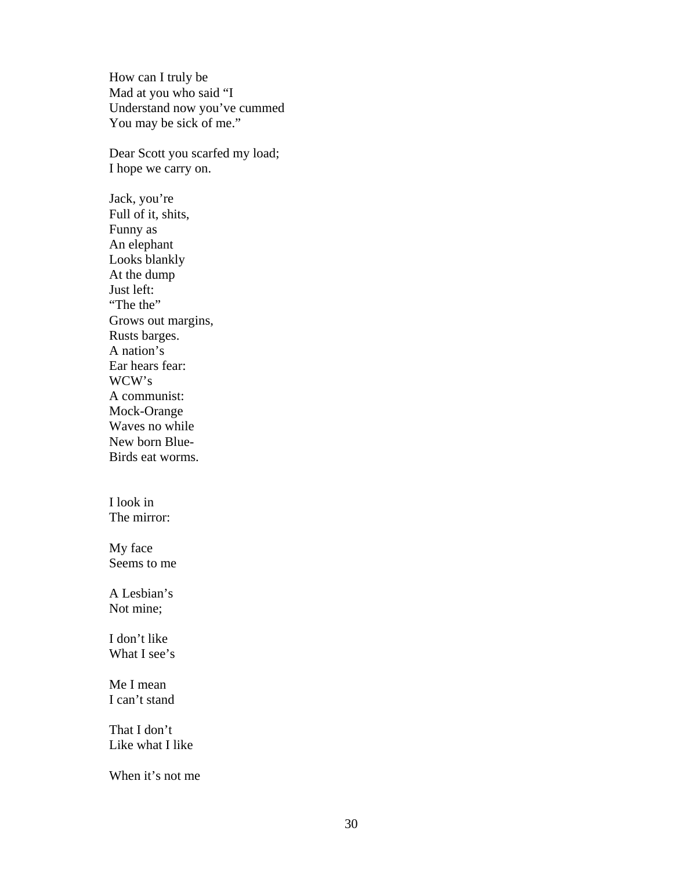How can I truly be Mad at you who said "I Understand now you've cummed You may be sick of me."

Dear Scott you scarfed my load; I hope we carry on.

Jack, you're Full of it, shits, Funny as An elephant Looks blankly At the dump Just left: "The the" Grows out margins, Rusts barges. A nation's Ear hears fear: WCW's A communist: Mock-Orange Waves no while New born Blue-Birds eat worms.

I look in The mirror:

My face Seems to me

A Lesbian's Not mine;

I don't like What I see's

Me I mean I can't stand

That I don't Like what I like

When it's not me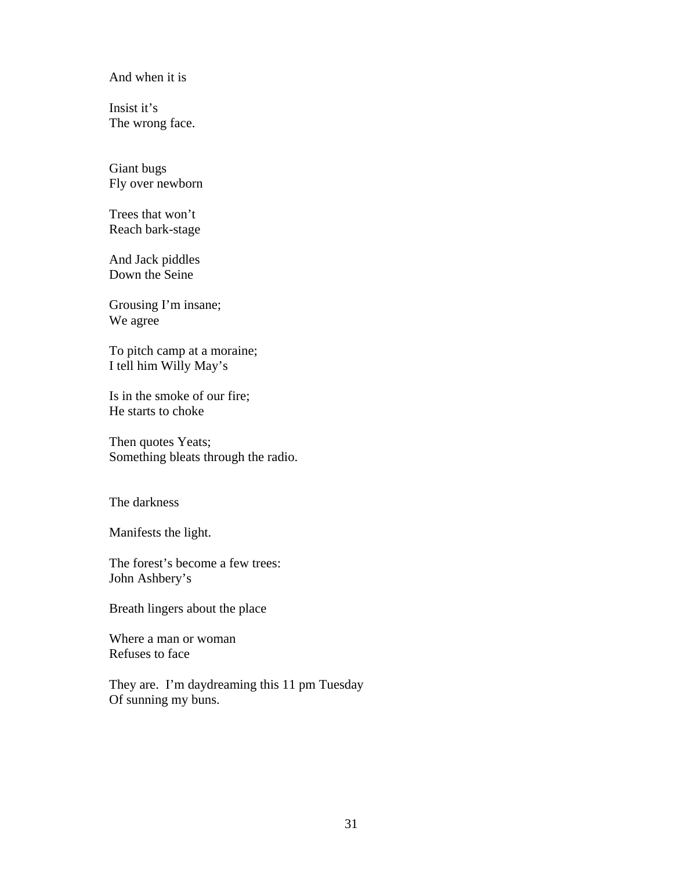And when it is

Insist it's The wrong face.

Giant bugs Fly over newborn

Trees that won't Reach bark-stage

And Jack piddles Down the Seine

Grousing I'm insane; We agree

To pitch camp at a moraine; I tell him Willy May's

Is in the smoke of our fire; He starts to choke

Then quotes Yeats; Something bleats through the radio.

The darkness

Manifests the light.

The forest's become a few trees: John Ashbery's

Breath lingers about the place

Where a man or woman Refuses to face

They are. I'm daydreaming this 11 pm Tuesday Of sunning my buns.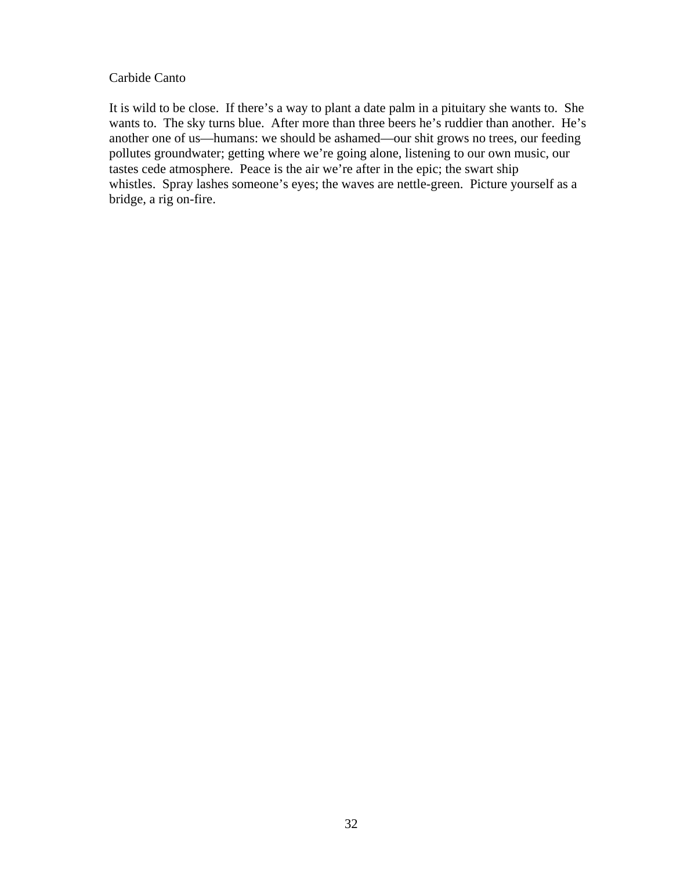#### Carbide Canto

It is wild to be close. If there's a way to plant a date palm in a pituitary she wants to. She wants to. The sky turns blue. After more than three beers he's ruddier than another. He's another one of us—humans: we should be ashamed—our shit grows no trees, our feeding pollutes groundwater; getting where we're going alone, listening to our own music, our tastes cede atmosphere. Peace is the air we're after in the epic; the swart ship whistles. Spray lashes someone's eyes; the waves are nettle-green. Picture yourself as a bridge, a rig on-fire.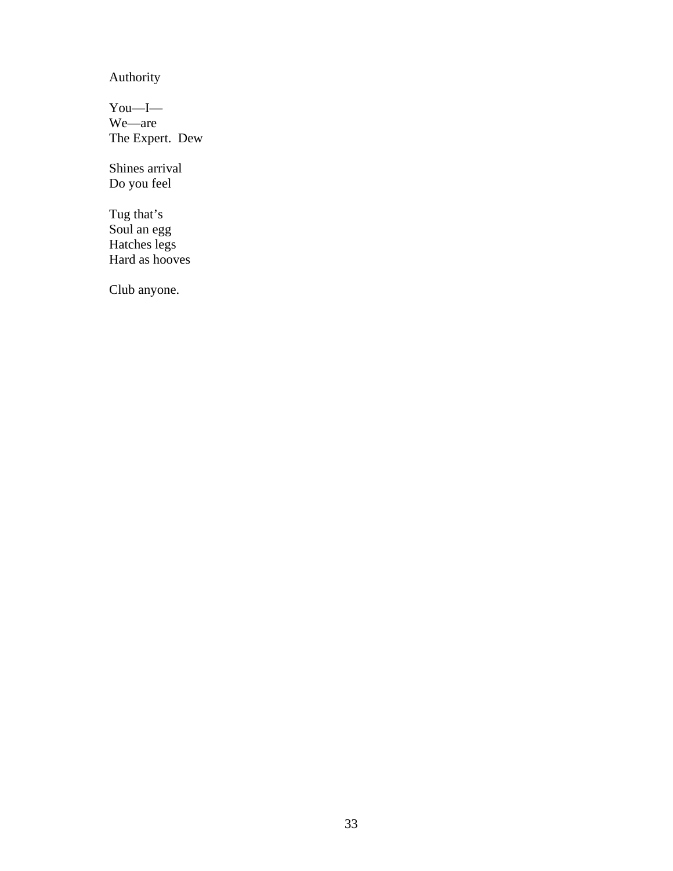Authority

You—I— We—are The Expert. Dew

Shines arrival Do you feel

Tug that's Soul an egg Hatches legs Hard as hooves

Club anyone.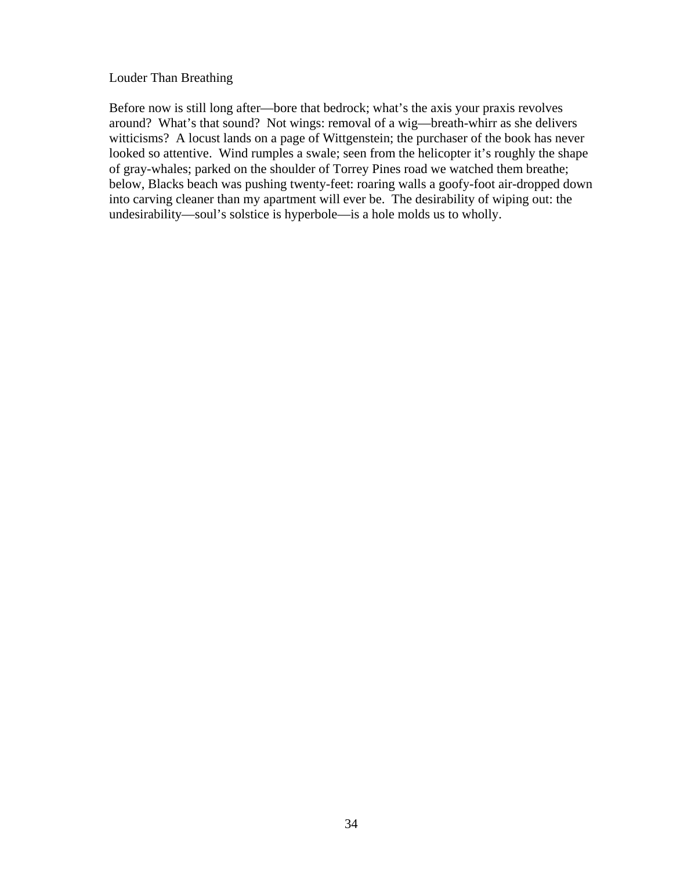#### Louder Than Breathing

Before now is still long after—bore that bedrock; what's the axis your praxis revolves around? What's that sound? Not wings: removal of a wig—breath-whirr as she delivers witticisms? A locust lands on a page of Wittgenstein; the purchaser of the book has never looked so attentive. Wind rumples a swale; seen from the helicopter it's roughly the shape of gray-whales; parked on the shoulder of Torrey Pines road we watched them breathe; below, Blacks beach was pushing twenty-feet: roaring walls a goofy-foot air-dropped down into carving cleaner than my apartment will ever be. The desirability of wiping out: the undesirability—soul's solstice is hyperbole—is a hole molds us to wholly.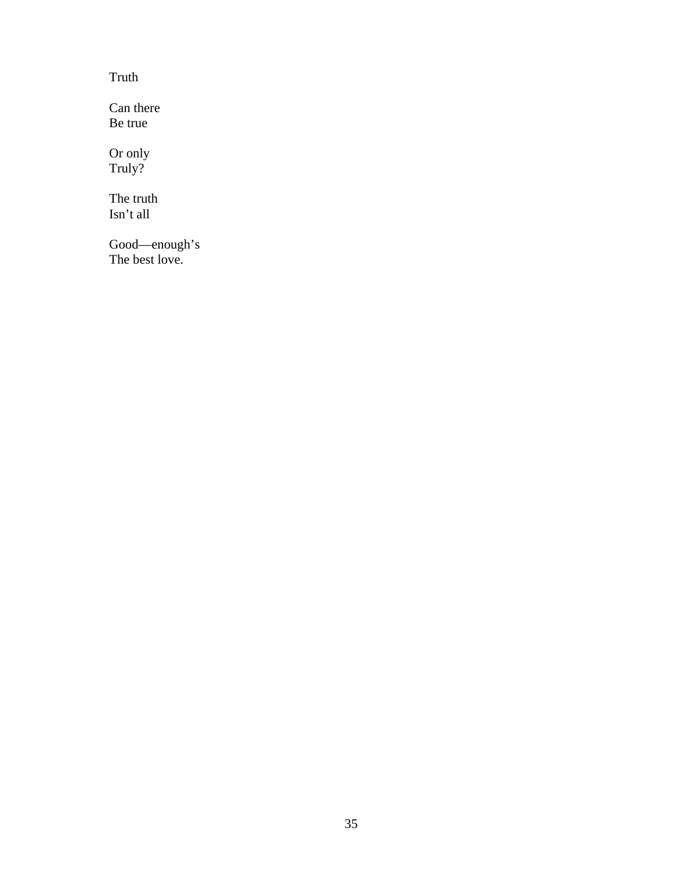Truth

Can there Be true

Or only Truly?

The truth Isn't all

Good—enough's The best love.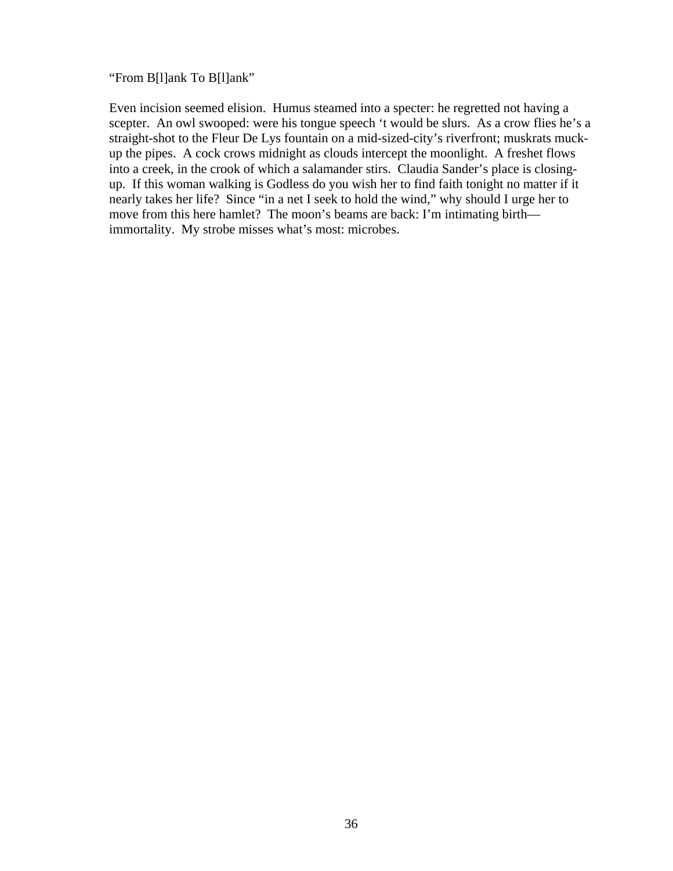## "From B[l]ank To B[l]ank"

Even incision seemed elision. Humus steamed into a specter: he regretted not having a scepter. An owl swooped: were his tongue speech 't would be slurs. As a crow flies he's a straight-shot to the Fleur De Lys fountain on a mid-sized-city's riverfront; muskrats muckup the pipes. A cock crows midnight as clouds intercept the moonlight. A freshet flows into a creek, in the crook of which a salamander stirs. Claudia Sander's place is closingup. If this woman walking is Godless do you wish her to find faith tonight no matter if it nearly takes her life? Since "in a net I seek to hold the wind," why should I urge her to move from this here hamlet? The moon's beams are back: I'm intimating birth immortality. My strobe misses what's most: microbes.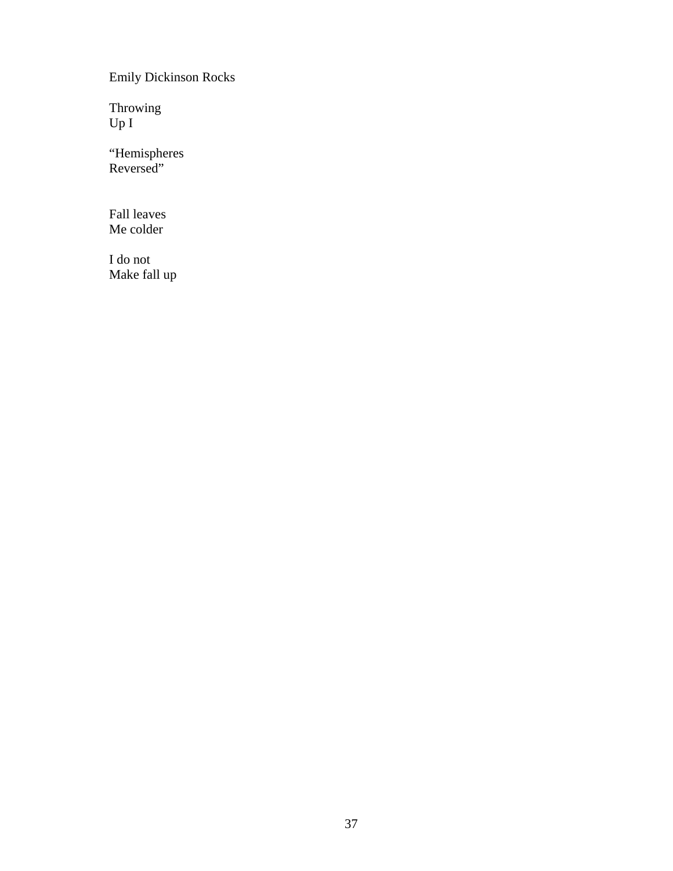Emily Dickinson Rocks

Throwing Up I

"Hemispheres Reversed"

Fall leaves Me colder

I do not Make fall up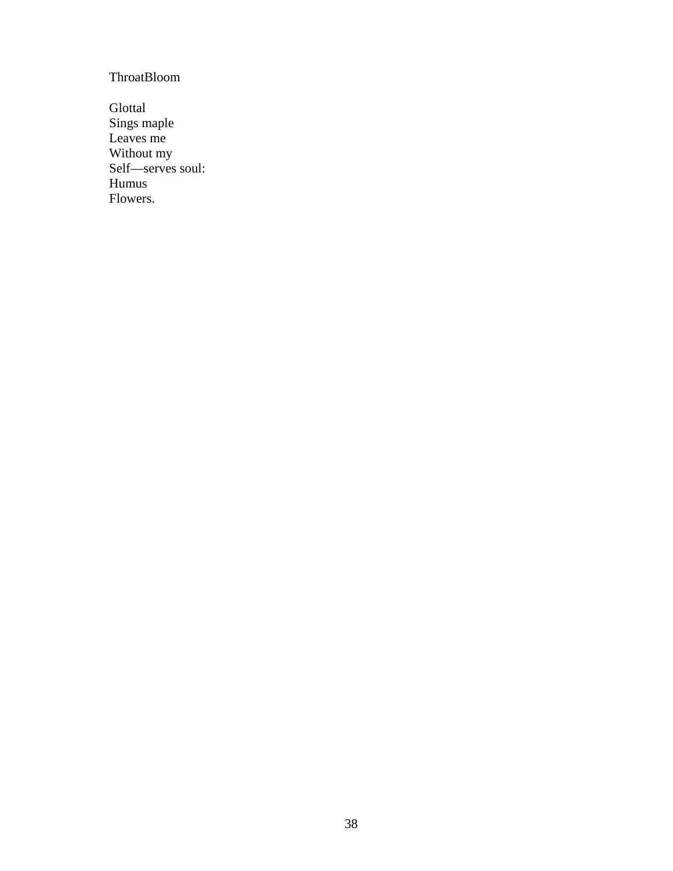# ThroatBloom

Glottal Sings maple Leaves me Without my Self—serves soul: Humus Flowers.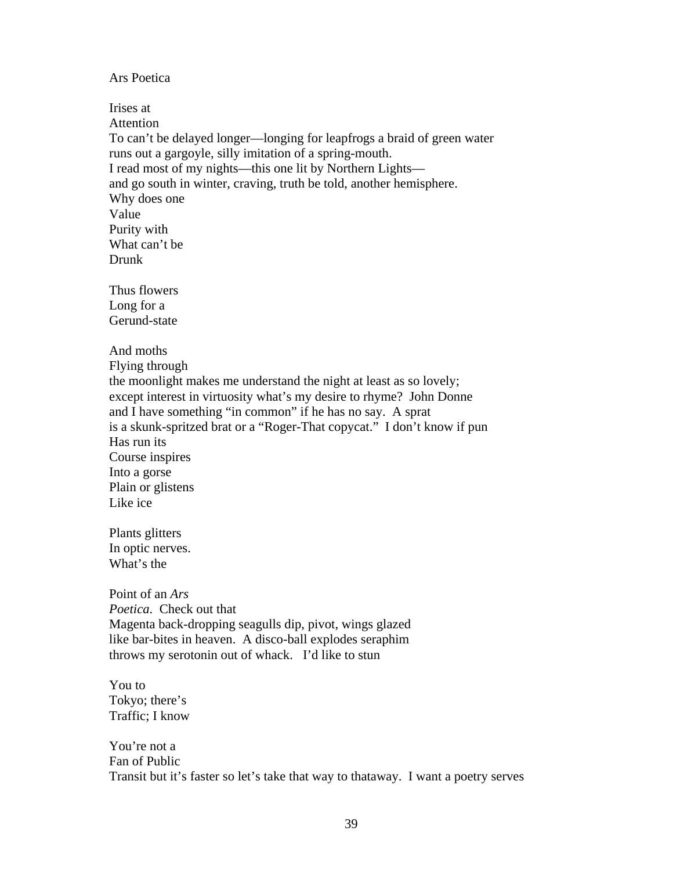#### Ars Poetica

Irises at Attention To can't be delayed longer—longing for leapfrogs a braid of green water runs out a gargoyle, silly imitation of a spring-mouth. I read most of my nights—this one lit by Northern Lights and go south in winter, craving, truth be told, another hemisphere. Why does one Value Purity with What can't be Drunk Thus flowers Long for a Gerund-state And moths

Flying through the moonlight makes me understand the night at least as so lovely; except interest in virtuosity what's my desire to rhyme? John Donne and I have something "in common" if he has no say. A sprat is a skunk-spritzed brat or a "Roger-That copycat." I don't know if pun Has run its Course inspires Into a gorse Plain or glistens Like ice

Plants glitters In optic nerves. What's the

Point of an *Ars Poetica*. Check out that Magenta back-dropping seagulls dip, pivot, wings glazed like bar-bites in heaven. A disco-ball explodes seraphim throws my serotonin out of whack. I'd like to stun

You to Tokyo; there's Traffic; I know

You're not a Fan of Public Transit but it's faster so let's take that way to thataway. I want a poetry serves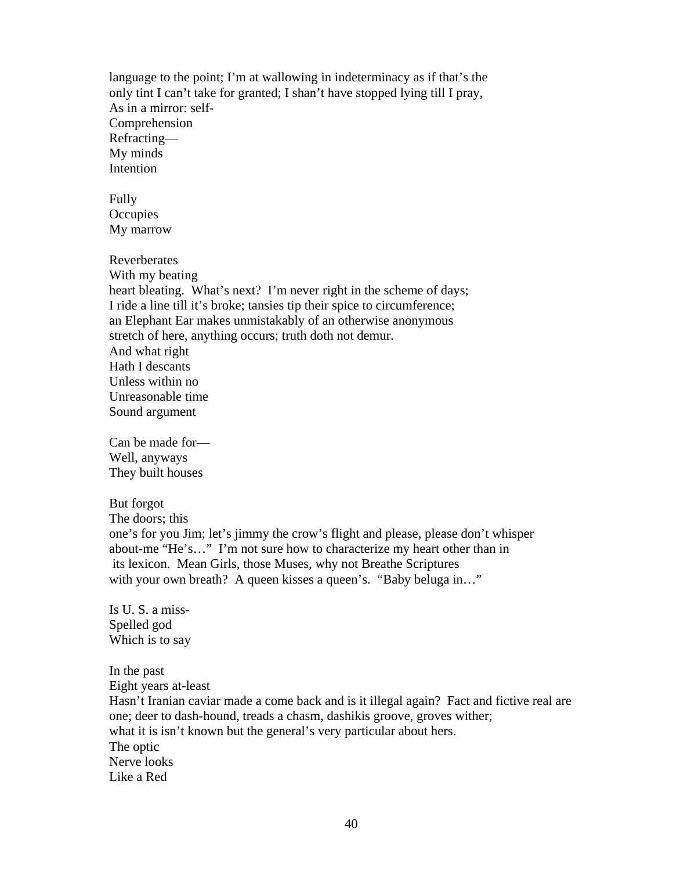language to the point; I'm at wallowing in indeterminacy as if that's the only tint I can't take for granted; I shan't have stopped lying till I pray, As in a mirror: self-Comprehension Refracting— My minds Intention

Fully **Occupies** My marrow

Reverberates

With my beating heart bleating. What's next? I'm never right in the scheme of days; I ride a line till it's broke; tansies tip their spice to circumference; an Elephant Ear makes unmistakably of an otherwise anonymous stretch of here, anything occurs; truth doth not demur. And what right Hath I descants Unless within no Unreasonable time Sound argument

Can be made for— Well, anyways They built houses

But forgot

The doors; this

one's for you Jim; let's jimmy the crow's flight and please, please don't whisper about-me "He's…" I'm not sure how to characterize my heart other than in its lexicon. Mean Girls, those Muses, why not Breathe Scriptures with your own breath? A queen kisses a queen's. "Baby beluga in..."

Is U. S. a miss-Spelled god Which is to say

In the past Eight years at-least Hasn't Iranian caviar made a come back and is it illegal again? Fact and fictive real are one; deer to dash-hound, treads a chasm, dashikis groove, groves wither; what it is isn't known but the general's very particular about hers. The optic Nerve looks Like a Red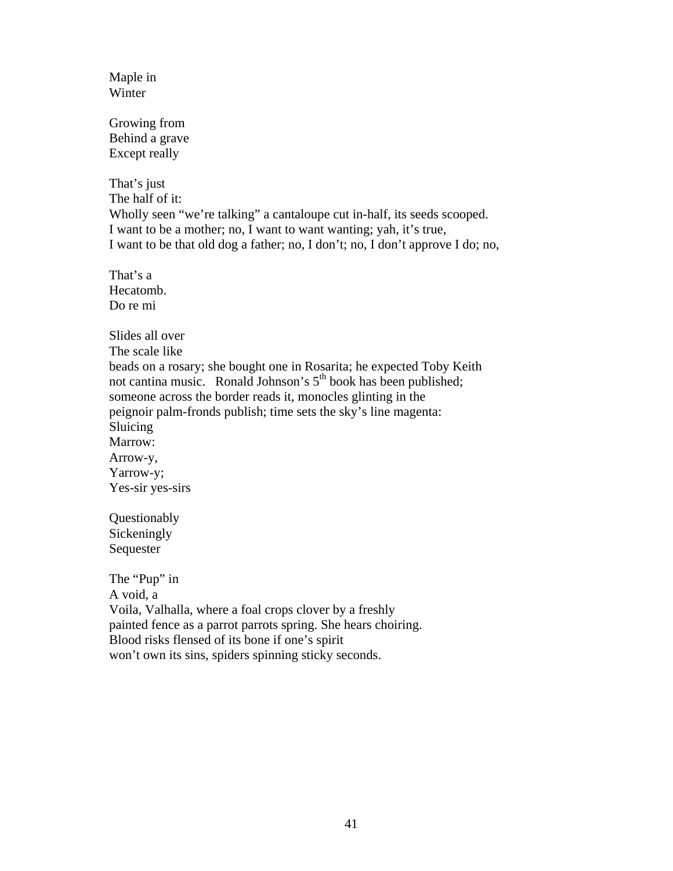Maple in Winter

Growing from Behind a grave Except really

That's just The half of it: Wholly seen "we're talking" a cantaloupe cut in-half, its seeds scooped. I want to be a mother; no, I want to want wanting; yah, it's true, I want to be that old dog a father; no, I don't; no, I don't approve I do; no,

That's a Hecatomb. Do re mi

Slides all over The scale like beads on a rosary; she bought one in Rosarita; he expected Toby Keith not cantina music. Ronald Johnson's 5<sup>th</sup> book has been published; someone across the border reads it, monocles glinting in the peignoir palm-fronds publish; time sets the sky's line magenta: Sluicing Marrow: Arrow-y, Yarrow-y; Yes-sir yes-sirs

Questionably Sickeningly Sequester

The "Pup" in A void, a Voila, Valhalla, where a foal crops clover by a freshly painted fence as a parrot parrots spring. She hears choiring. Blood risks flensed of its bone if one's spirit won't own its sins, spiders spinning sticky seconds.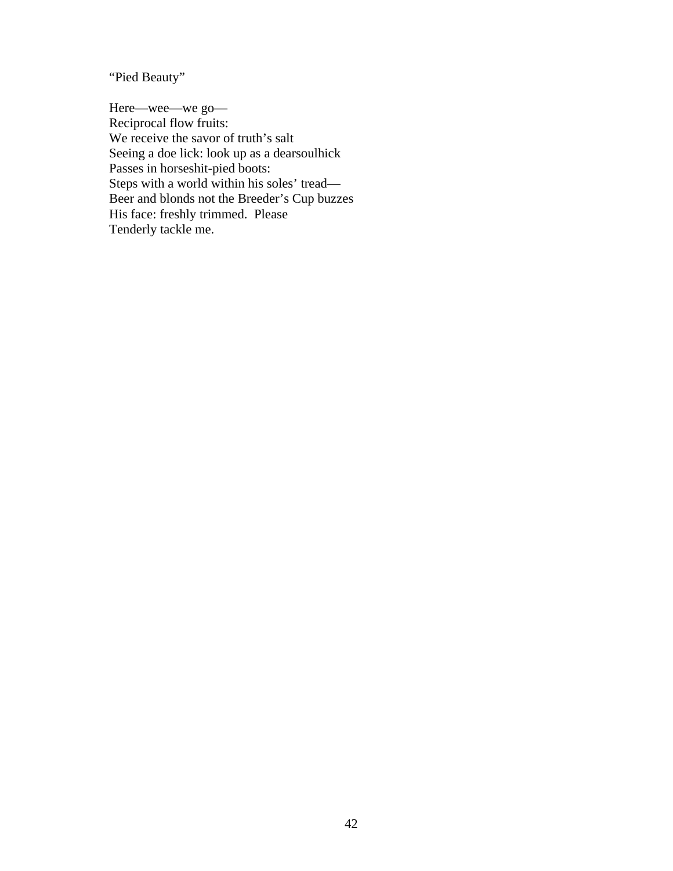"Pied Beauty"

Here—wee—we go— Reciprocal flow fruits: We receive the savor of truth's salt Seeing a doe lick: look up as a dearsoulhick Passes in horseshit-pied boots: Steps with a world within his soles' tread— Beer and blonds not the Breeder's Cup buzzes His face: freshly trimmed. Please Tenderly tackle me.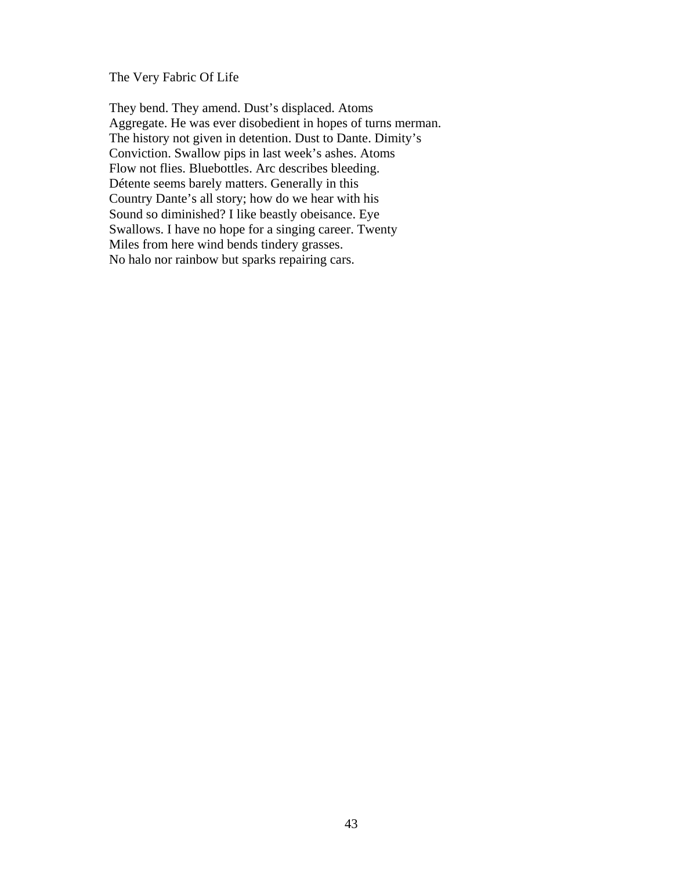The Very Fabric Of Life

They bend. They amend. Dust's displaced. Atoms Aggregate. He was ever disobedient in hopes of turns merman. The history not given in detention. Dust to Dante. Dimity's Conviction. Swallow pips in last week's ashes. Atoms Flow not flies. Bluebottles. Arc describes bleeding. Détente seems barely matters. Generally in this Country Dante's all story; how do we hear with his Sound so diminished? I like beastly obeisance. Eye Swallows. I have no hope for a singing career. Twenty Miles from here wind bends tindery grasses. No halo nor rainbow but sparks repairing cars.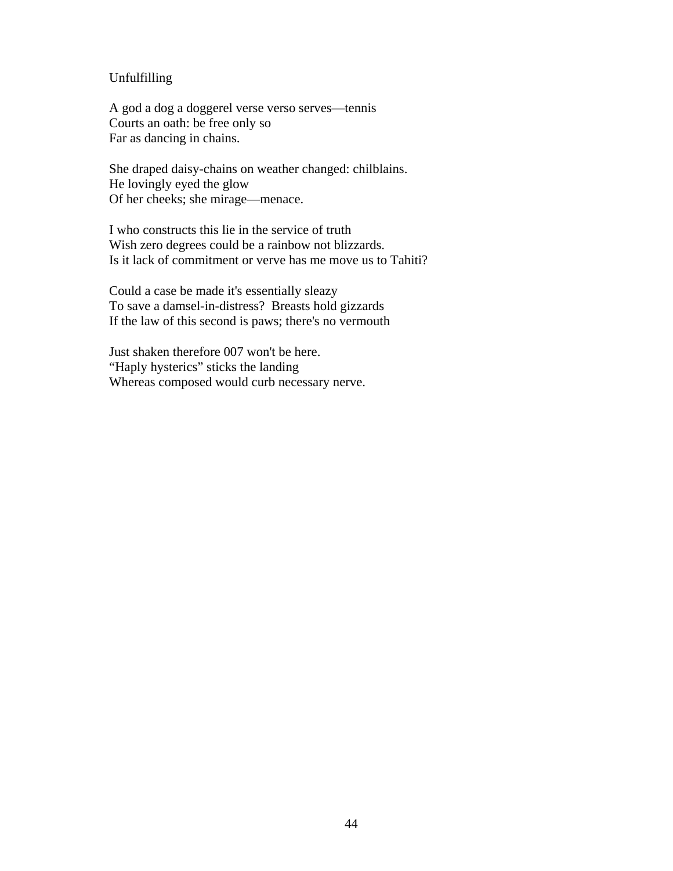## Unfulfilling

A god a dog a doggerel verse verso serves—tennis Courts an oath: be free only so Far as dancing in chains.

She draped daisy-chains on weather changed: chilblains. He lovingly eyed the glow Of her cheeks; she mirage—menace.

I who constructs this lie in the service of truth Wish zero degrees could be a rainbow not blizzards. Is it lack of commitment or verve has me move us to Tahiti?

Could a case be made it's essentially sleazy To save a damsel-in-distress? Breasts hold gizzards If the law of this second is paws; there's no vermouth

Just shaken therefore 007 won't be here. "Haply hysterics" sticks the landing Whereas composed would curb necessary nerve.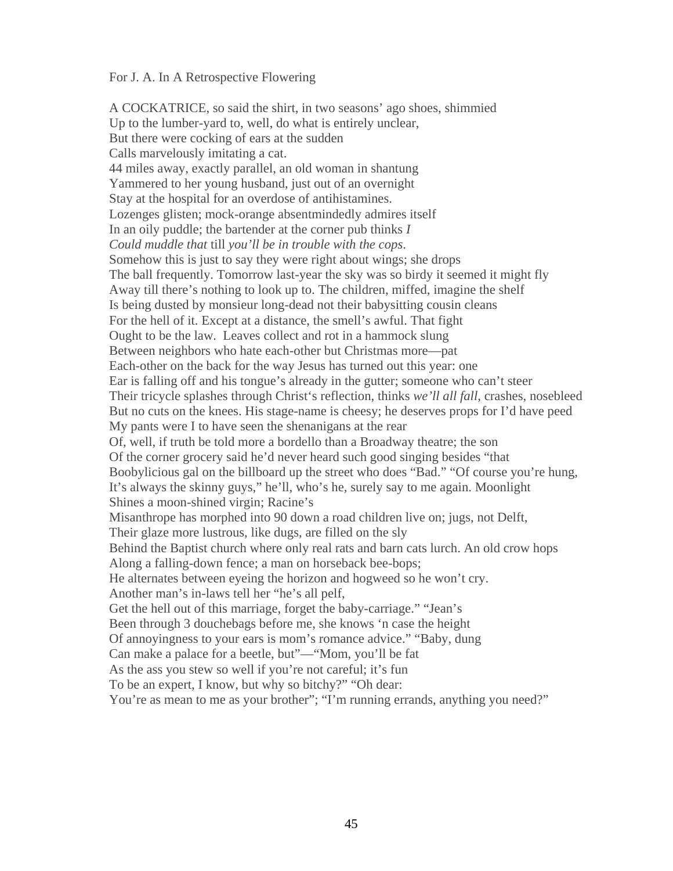#### For J. A. In A Retrospective Flowering

A COCKATRICE, so said the shirt, in two seasons' ago shoes, shimmied Up to the lumber-yard to, well, do what is entirely unclear, But there were cocking of ears at the sudden Calls marvelously imitating a cat. 44 miles away, exactly parallel, an old woman in shantung Yammered to her young husband, just out of an overnight Stay at the hospital for an overdose of antihistamines. Lozenges glisten; mock-orange absentmindedly admires itself In an oily puddle; the bartender at the corner pub thinks *I Could muddle that* till *you'll be in trouble with the cops*. Somehow this is just to say they were right about wings; she drops The ball frequently. Tomorrow last-year the sky was so birdy it seemed it might fly Away till there's nothing to look up to. The children, miffed, imagine the shelf Is being dusted by monsieur long-dead not their babysitting cousin cleans For the hell of it. Except at a distance, the smell's awful. That fight Ought to be the law. Leaves collect and rot in a hammock slung Between neighbors who hate each-other but Christmas more—pat Each-other on the back for the way Jesus has turned out this year: one Ear is falling off and his tongue's already in the gutter; someone who can't steer Their tricycle splashes through Christ's reflection, thinks *we'll all fall,* crashes, nosebleed But no cuts on the knees. His stage-name is cheesy; he deserves props for I'd have peed My pants were I to have seen the shenanigans at the rear Of, well, if truth be told more a bordello than a Broadway theatre; the son Of the corner grocery said he'd never heard such good singing besides "that Boobylicious gal on the billboard up the street who does "Bad." "Of course you're hung, It's always the skinny guys," he'll, who's he, surely say to me again. Moonlight Shines a moon-shined virgin; Racine's Misanthrope has morphed into 90 down a road children live on; jugs, not Delft, Their glaze more lustrous, like dugs, are filled on the sly Behind the Baptist church where only real rats and barn cats lurch. An old crow hops Along a falling-down fence; a man on horseback bee-bops; He alternates between eyeing the horizon and hogweed so he won't cry. Another man's in-laws tell her "he's all pelf, Get the hell out of this marriage, forget the baby-carriage." "Jean's Been through 3 douchebags before me, she knows 'n case the height Of annoyingness to your ears is mom's romance advice." "Baby, dung Can make a palace for a beetle, but"—"Mom, you'll be fat As the ass you stew so well if you're not careful; it's fun To be an expert, I know, but why so bitchy?" "Oh dear: You're as mean to me as your brother"; "I'm running errands, anything you need?"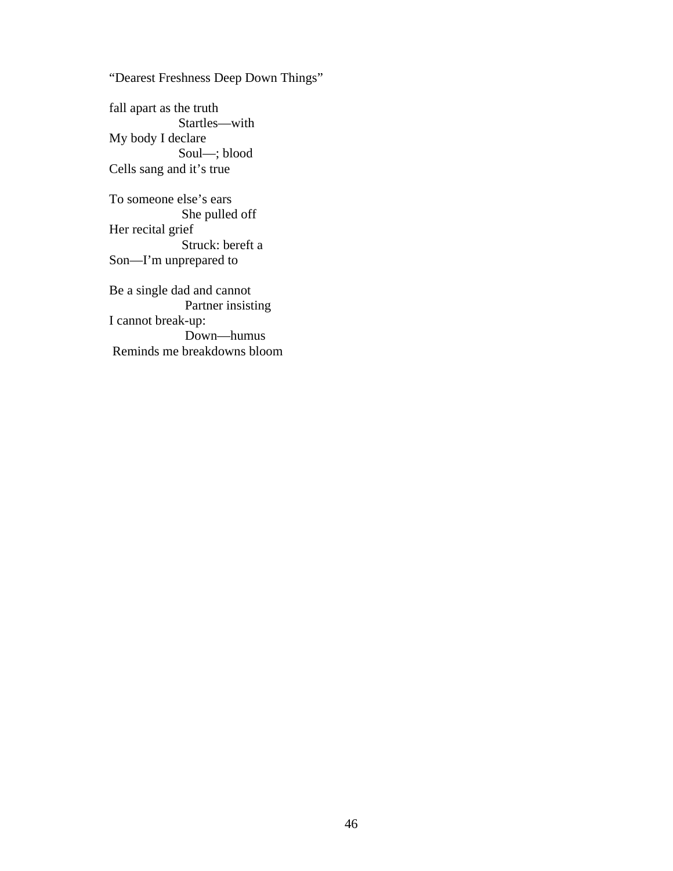"Dearest Freshness Deep Down Things"

fall apart as the truth Startles—with My body I declare Soul—; blood Cells sang and it's true

To someone else's ears She pulled off Her recital grief Struck: bereft a Son—I'm unprepared to

Be a single dad and cannot Partner insisting I cannot break-up: Down—humus Reminds me breakdowns bloom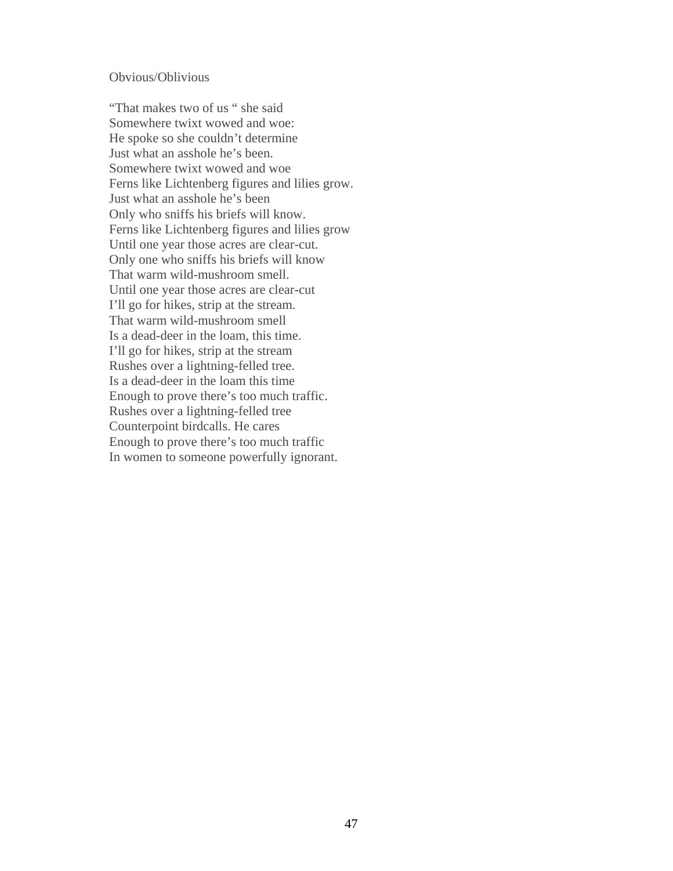#### Obvious/Oblivious

"That makes two of us " she said Somewhere twixt wowed and woe: He spoke so she couldn't determine Just what an asshole he's been. Somewhere twixt wowed and woe Ferns like Lichtenberg figures and lilies grow. Just what an asshole he's been Only who sniffs his briefs will know. Ferns like Lichtenberg figures and lilies grow Until one year those acres are clear-cut. Only one who sniffs his briefs will know That warm wild-mushroom smell. Until one year those acres are clear-cut I'll go for hikes, strip at the stream. That warm wild-mushroom smell Is a dead-deer in the loam, this time. I'll go for hikes, strip at the stream Rushes over a lightning-felled tree. Is a dead-deer in the loam this time Enough to prove there's too much traffic. Rushes over a lightning-felled tree Counterpoint birdcalls. He cares Enough to prove there's too much traffic In women to someone powerfully ignorant.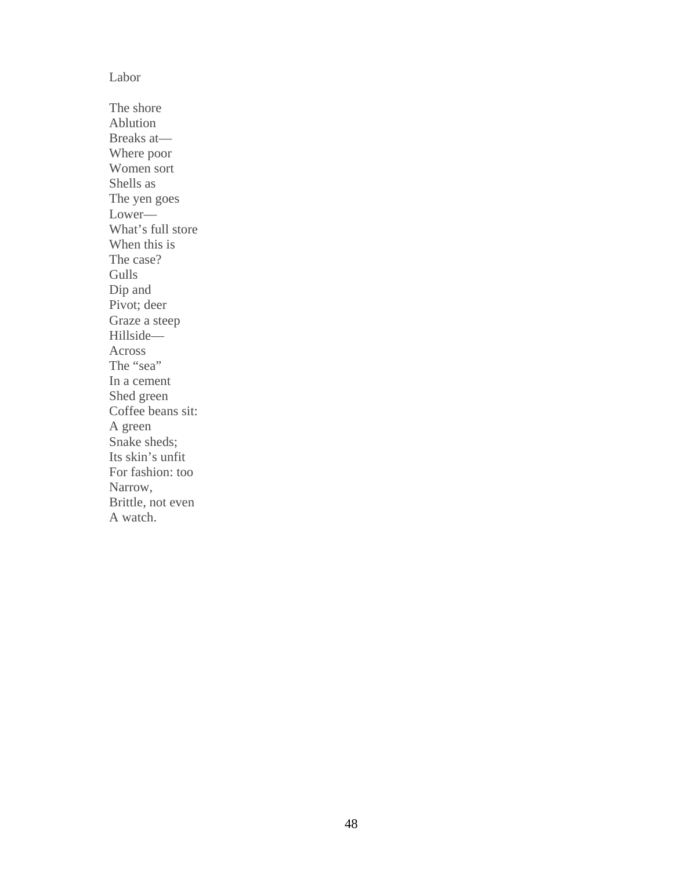#### Labor

The shore Ablution Breaks at— Where poor Women sort Shells as The yen goes Lower— What's full store When this is The case? Gulls Dip and Pivot; deer Graze a steep Hillside— Across The "sea" In a cement Shed green Coffee beans sit: A green Snake sheds; Its skin's unfit For fashion: too Narrow, Brittle, not even A watch.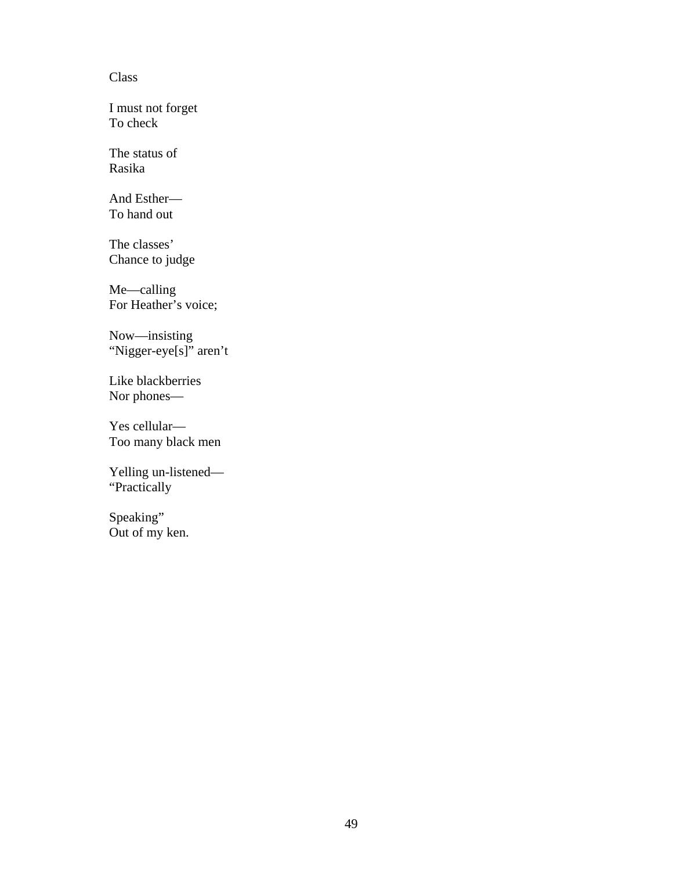#### Class

I must not forget To check

The status of Rasika

And Esther— To hand out

The classes' Chance to judge

Me—calling For Heather's voice;

Now—insisting "Nigger-eye[s]" aren't

Like blackberries Nor phones—

Yes cellular— Too many black men

Yelling un-listened— "Practically

Speaking" Out of my ken.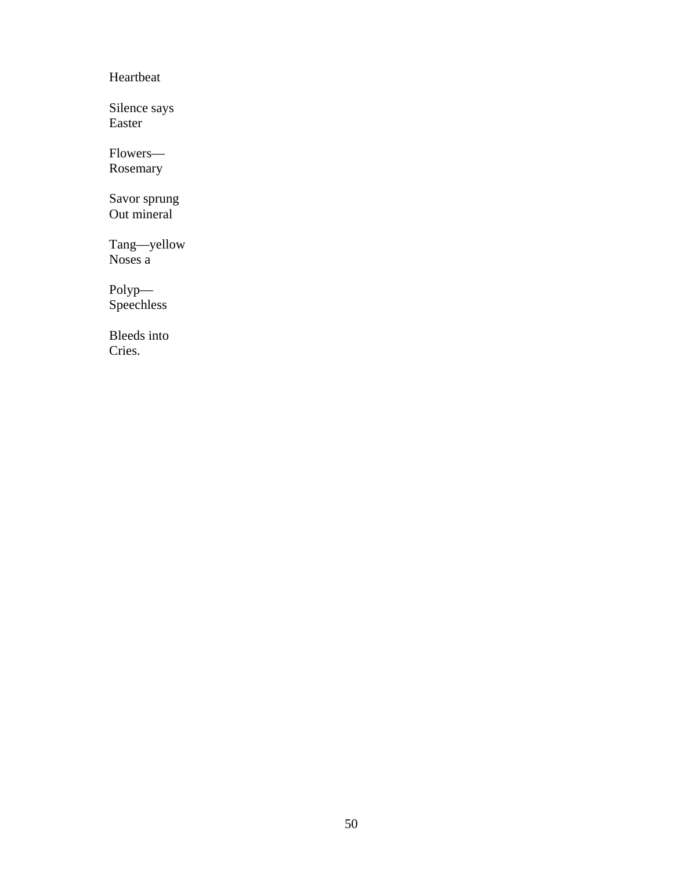Heartbeat

Silence says Easter

Flowers— Rosemary

Savor sprung Out mineral

Tang—yellow Noses a

Polyp— Speechless

Bleeds into Cries.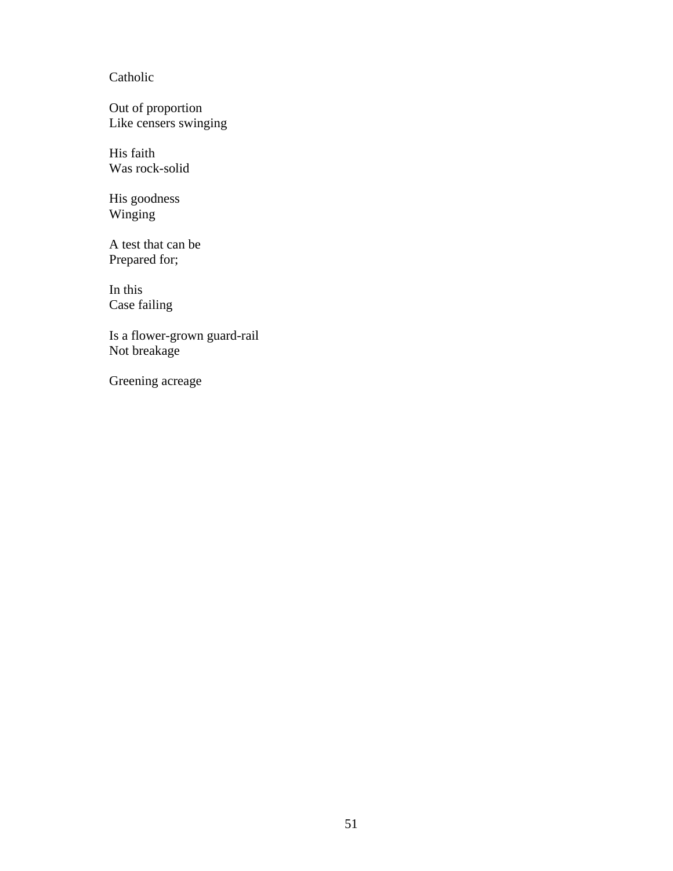# Catholic

Out of proportion Like censers swinging

His faith Was rock-solid

His goodness Winging

A test that can be Prepared for;

In this Case failing

Is a flower-grown guard-rail Not breakage

Greening acreage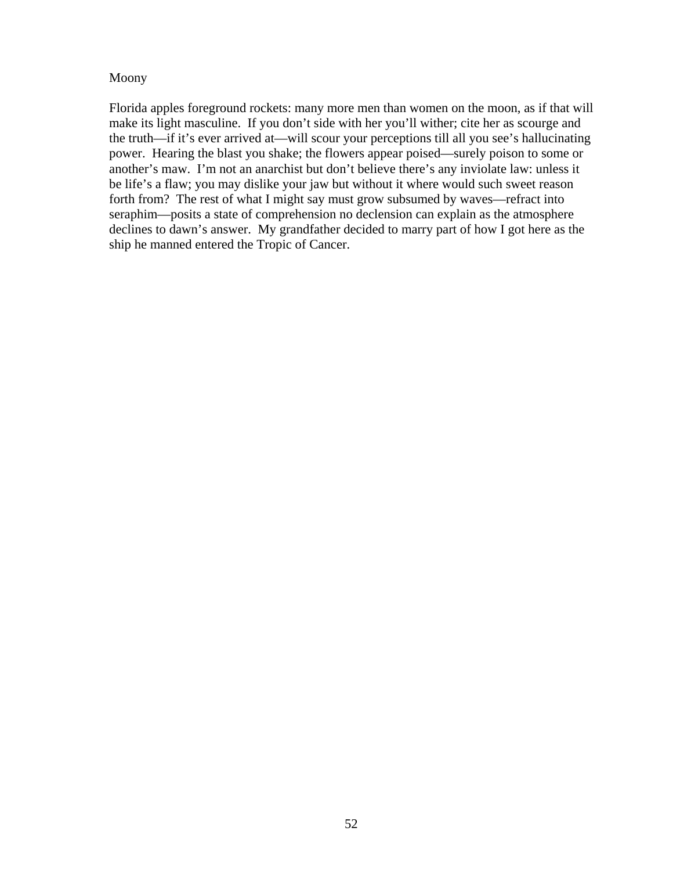#### Moony

Florida apples foreground rockets: many more men than women on the moon, as if that will make its light masculine. If you don't side with her you'll wither; cite her as scourge and the truth—if it's ever arrived at—will scour your perceptions till all you see's hallucinating power. Hearing the blast you shake; the flowers appear poised—surely poison to some or another's maw. I'm not an anarchist but don't believe there's any inviolate law: unless it be life's a flaw; you may dislike your jaw but without it where would such sweet reason forth from? The rest of what I might say must grow subsumed by waves—refract into seraphim—posits a state of comprehension no declension can explain as the atmosphere declines to dawn's answer. My grandfather decided to marry part of how I got here as the ship he manned entered the Tropic of Cancer.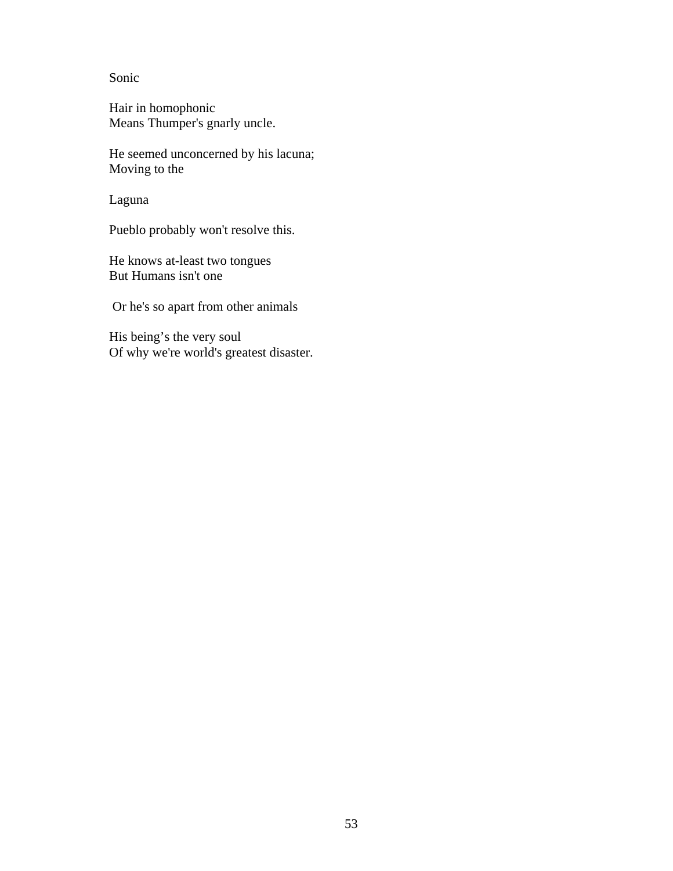Sonic

Hair in homophonic Means Thumper's gnarly uncle.

He seemed unconcerned by his lacuna; Moving to the

Laguna

Pueblo probably won't resolve this.

He knows at-least two tongues But Humans isn't one

Or he's so apart from other animals

His being's the very soul Of why we're world's greatest disaster.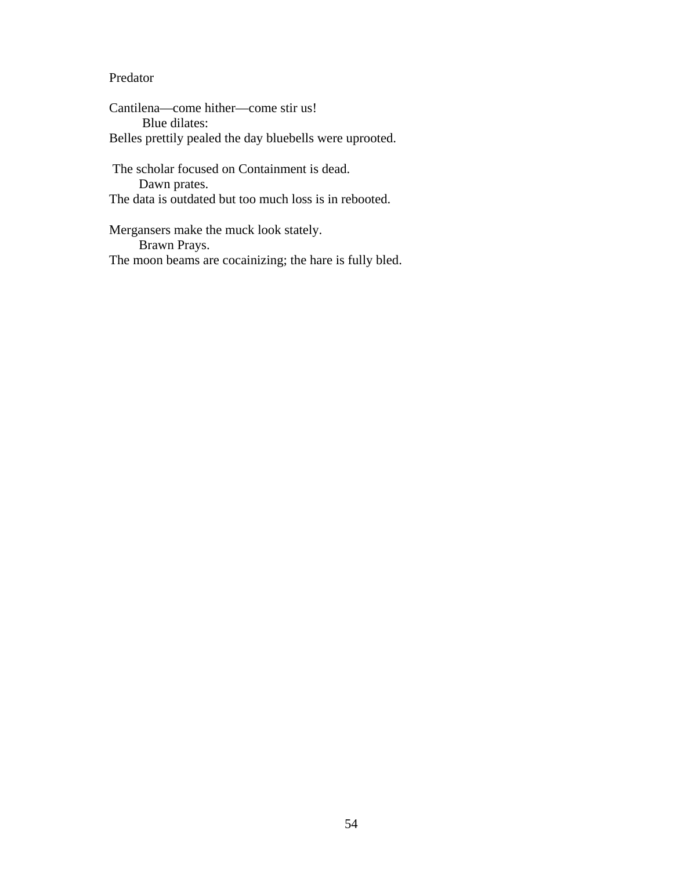## Predator

Cantilena—come hither—come stir us! Blue dilates: Belles prettily pealed the day bluebells were uprooted.

 The scholar focused on Containment is dead. Dawn prates. The data is outdated but too much loss is in rebooted.

Mergansers make the muck look stately. Brawn Prays. The moon beams are cocainizing; the hare is fully bled.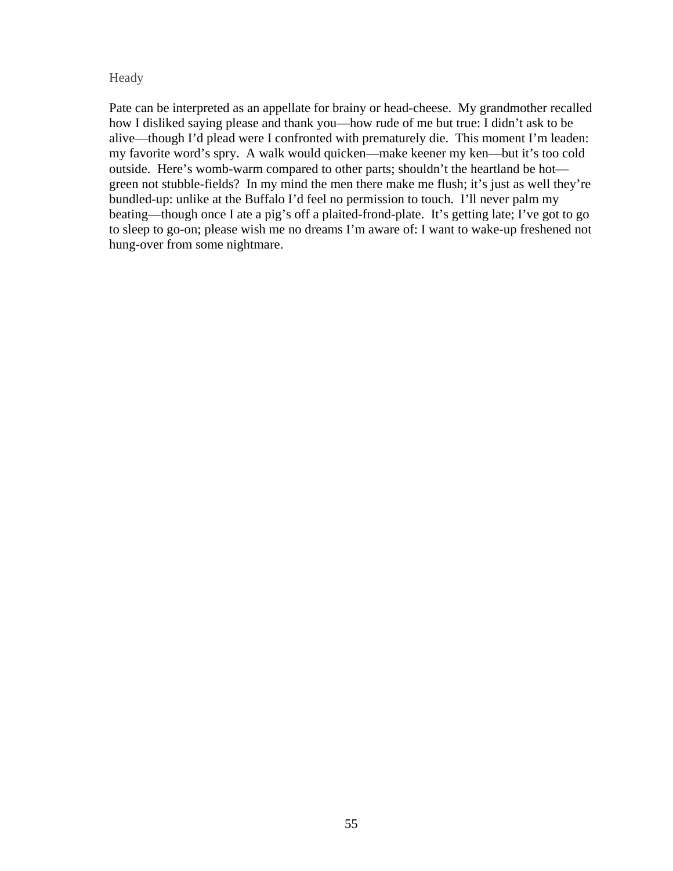#### Heady

Pate can be interpreted as an appellate for brainy or head-cheese. My grandmother recalled how I disliked saying please and thank you—how rude of me but true: I didn't ask to be alive—though I'd plead were I confronted with prematurely die. This moment I'm leaden: my favorite word's spry. A walk would quicken—make keener my ken—but it's too cold outside. Here's womb-warm compared to other parts; shouldn't the heartland be hot green not stubble-fields? In my mind the men there make me flush; it's just as well they're bundled-up: unlike at the Buffalo I'd feel no permission to touch. I'll never palm my beating—though once I ate a pig's off a plaited-frond-plate. It's getting late; I've got to go to sleep to go-on; please wish me no dreams I'm aware of: I want to wake-up freshened not hung-over from some nightmare.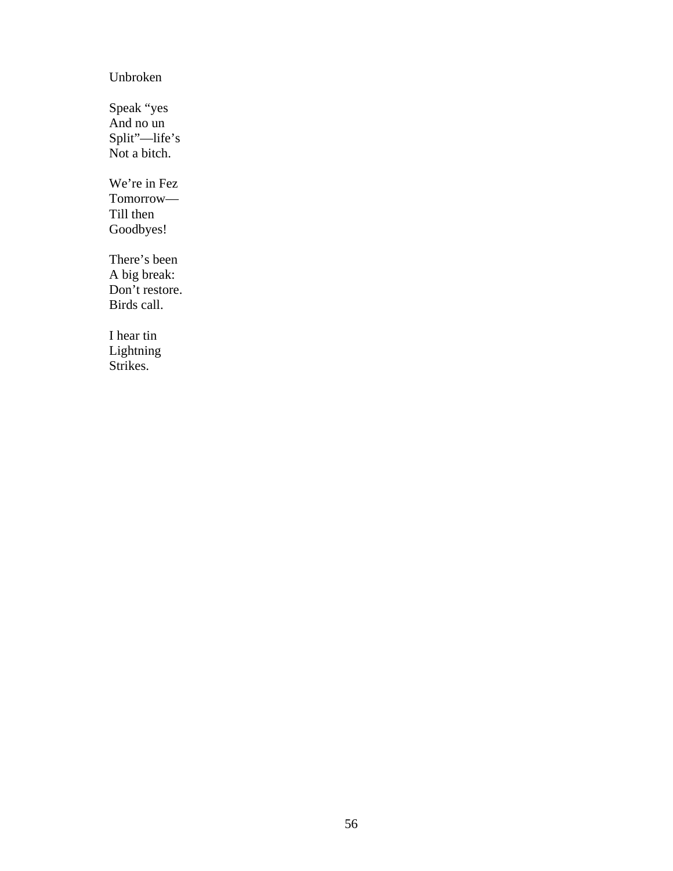# Unbroken

Speak "yes And no un Split"—life's Not a bitch.

We're in Fez Tomorrow— Till then Goodbyes!

There's been A big break: Don't restore. Birds call.

I hear tin Lightning Strikes.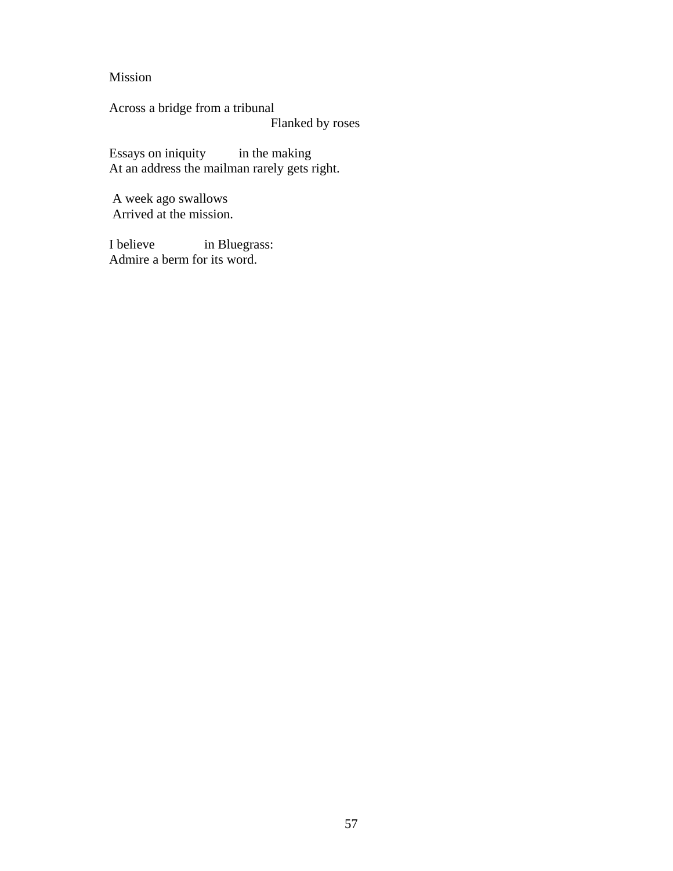Mission

Across a bridge from a tribunal Flanked by roses

Essays on iniquity in the making At an address the mailman rarely gets right.

 A week ago swallows Arrived at the mission.

I believe in Bluegrass: Admire a berm for its word.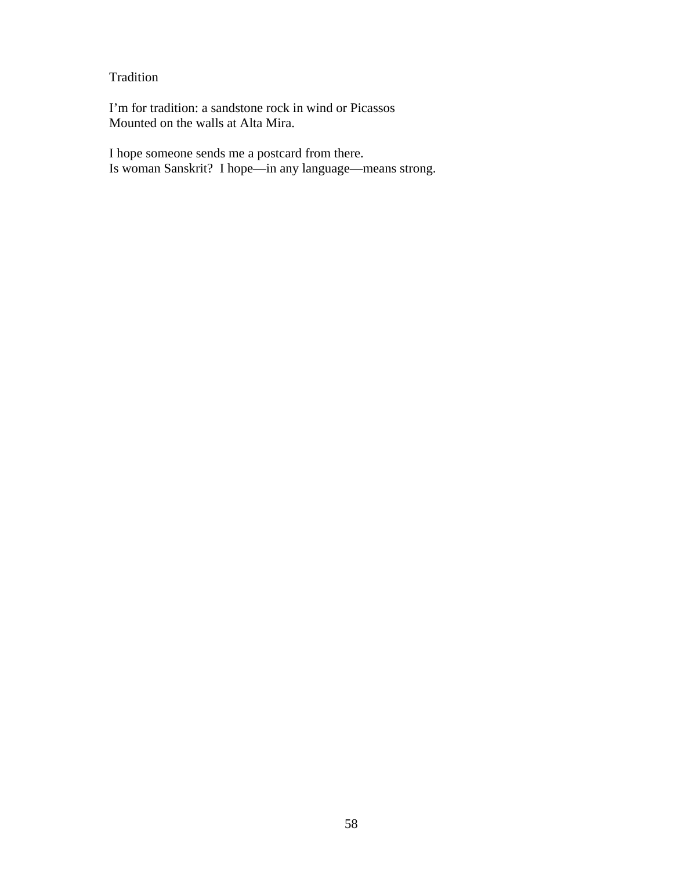Tradition

I'm for tradition: a sandstone rock in wind or Picassos Mounted on the walls at Alta Mira.

I hope someone sends me a postcard from there. Is woman Sanskrit? I hope—in any language—means strong.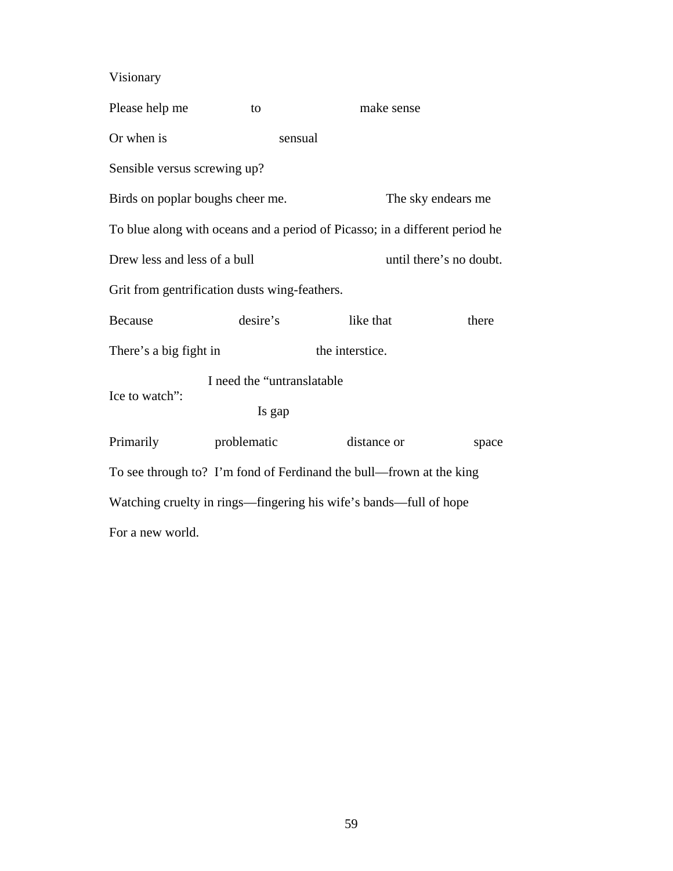Visionary

| Please help me                                | to                          | make sense                                                                  |                         |  |
|-----------------------------------------------|-----------------------------|-----------------------------------------------------------------------------|-------------------------|--|
| Or when is                                    | sensual                     |                                                                             |                         |  |
| Sensible versus screwing up?                  |                             |                                                                             |                         |  |
| Birds on poplar boughs cheer me.              |                             |                                                                             | The sky endears me      |  |
|                                               |                             | To blue along with oceans and a period of Picasso; in a different period he |                         |  |
| Drew less and less of a bull                  |                             |                                                                             | until there's no doubt. |  |
| Grit from gentrification dusts wing-feathers. |                             |                                                                             |                         |  |
| <b>Because</b>                                | desire's                    | like that                                                                   | there                   |  |
| There's a big fight in                        |                             | the interstice.                                                             |                         |  |
| Ice to watch":                                | I need the "untranslatable" |                                                                             |                         |  |
|                                               | Is gap                      |                                                                             |                         |  |
| Primarily                                     | problematic                 | distance or                                                                 | space                   |  |
|                                               |                             | To see through to? I'm fond of Ferdinand the bull—frown at the king         |                         |  |
|                                               |                             | Watching cruelty in rings—fingering his wife's bands—full of hope           |                         |  |
| For a new world.                              |                             |                                                                             |                         |  |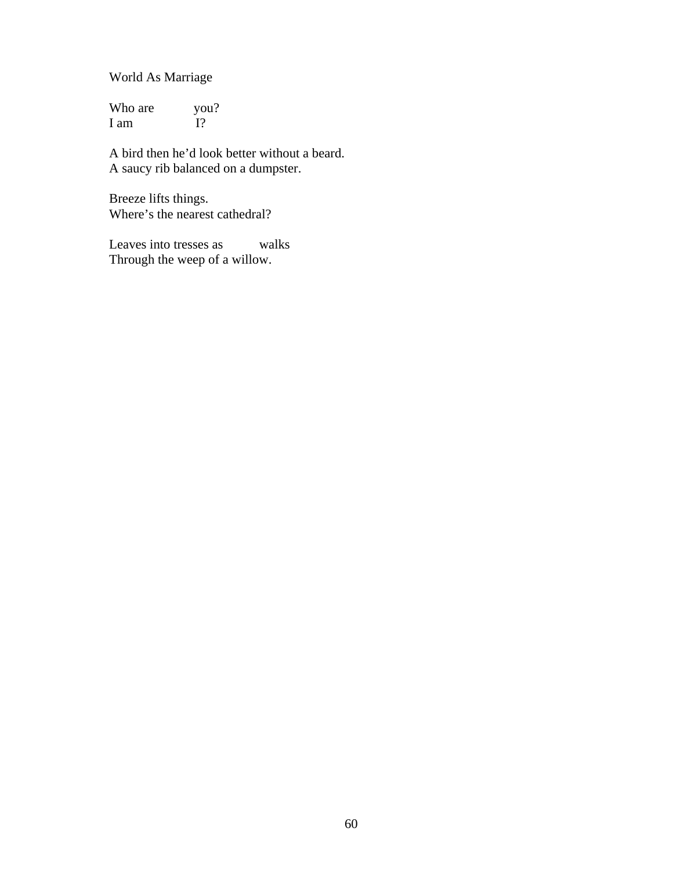World As Marriage

Who are  $you?$ <br>
I am  $I$ ? I am

A bird then he'd look better without a beard. A saucy rib balanced on a dumpster.

Breeze lifts things. Where's the nearest cathedral?

Leaves into tresses as walks Through the weep of a willow.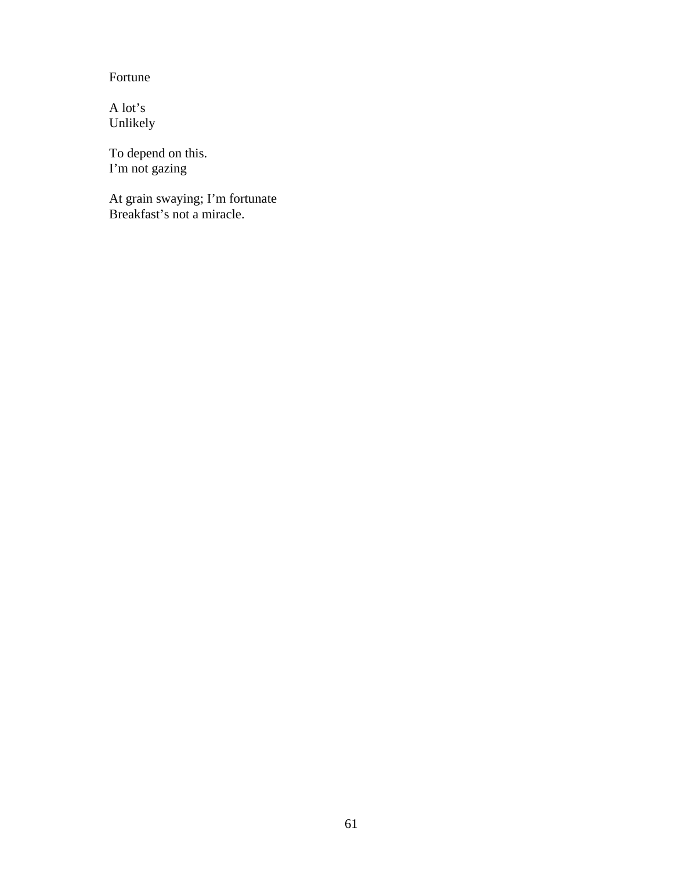Fortune

A lot's Unlikely

To depend on this. I'm not gazing

At grain swaying; I'm fortunate Breakfast's not a miracle.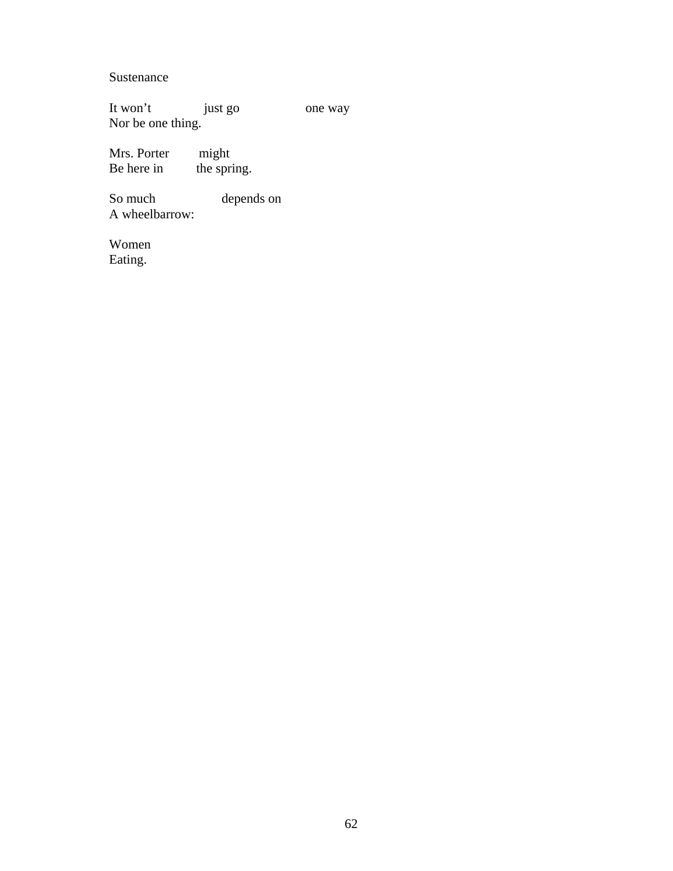Sustenance

It won't just go one way Nor be one thing.

Mrs. Porter might<br>Be here in the spri the spring.

So much depends on A wheelbarrow:

Women Eating.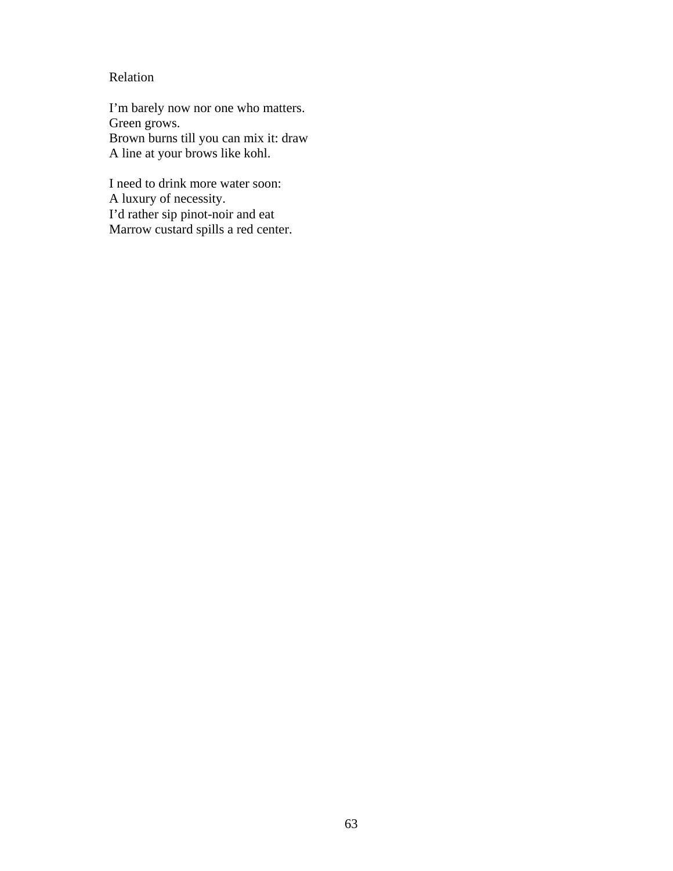## Relation

I'm barely now nor one who matters. Green grows. Brown burns till you can mix it: draw A line at your brows like kohl.

I need to drink more water soon: A luxury of necessity. I'd rather sip pinot-noir and eat Marrow custard spills a red center.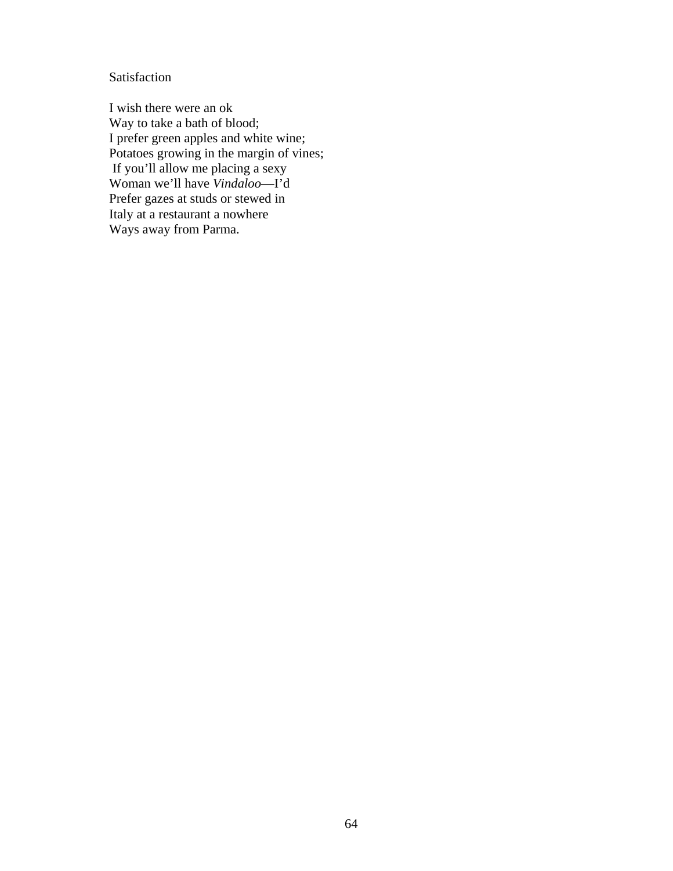Satisfaction

I wish there were an ok Way to take a bath of blood; I prefer green apples and white wine; Potatoes growing in the margin of vines; If you'll allow me placing a sexy Woman we'll have *Vindaloo*—I'd Prefer gazes at studs or stewed in Italy at a restaurant a nowhere Ways away from Parma.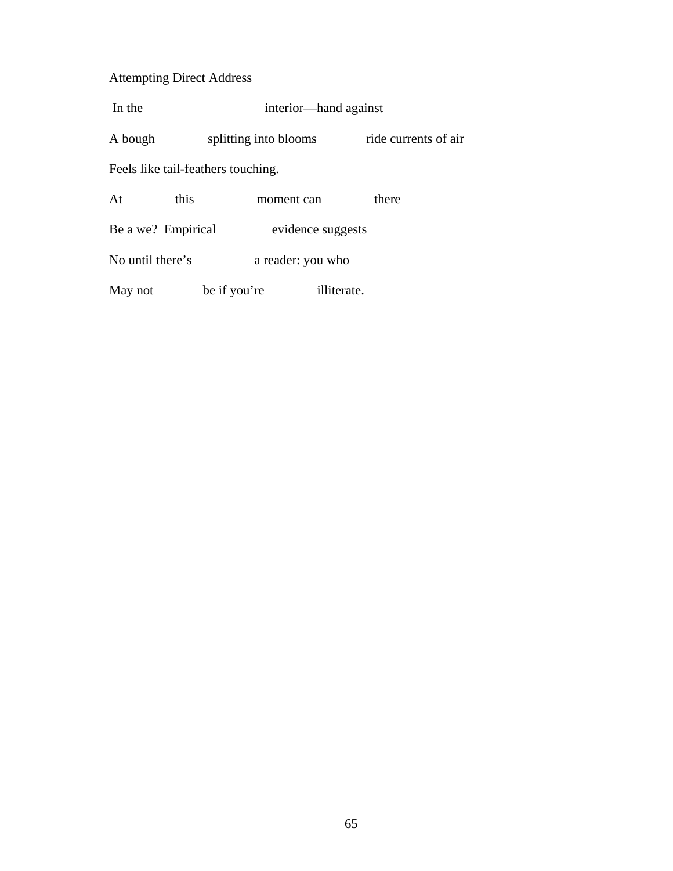# Attempting Direct Address

| In the                             | interior—hand against |                      |  |  |  |
|------------------------------------|-----------------------|----------------------|--|--|--|
| A bough                            | splitting into blooms | ride currents of air |  |  |  |
| Feels like tail-feathers touching. |                       |                      |  |  |  |
| this<br>At                         | moment can            | there                |  |  |  |
| Be a we? Empirical                 | evidence suggests     |                      |  |  |  |
| No until there's                   | a reader: you who     |                      |  |  |  |

May not be if you're illiterate.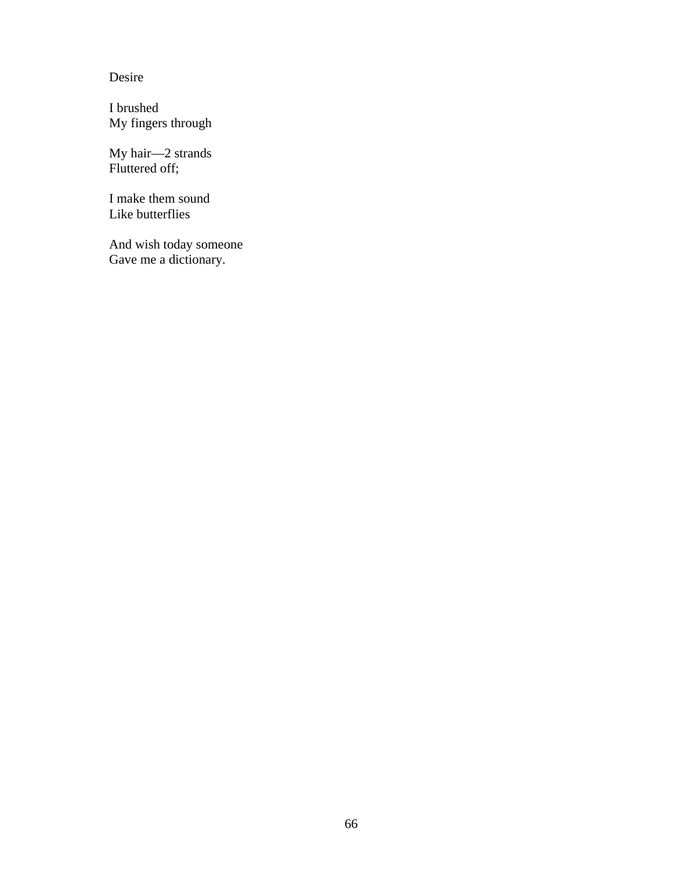Desire

I brushed My fingers through

My hair—2 strands Fluttered off;

I make them sound Like butterflies

And wish today someone Gave me a dictionary.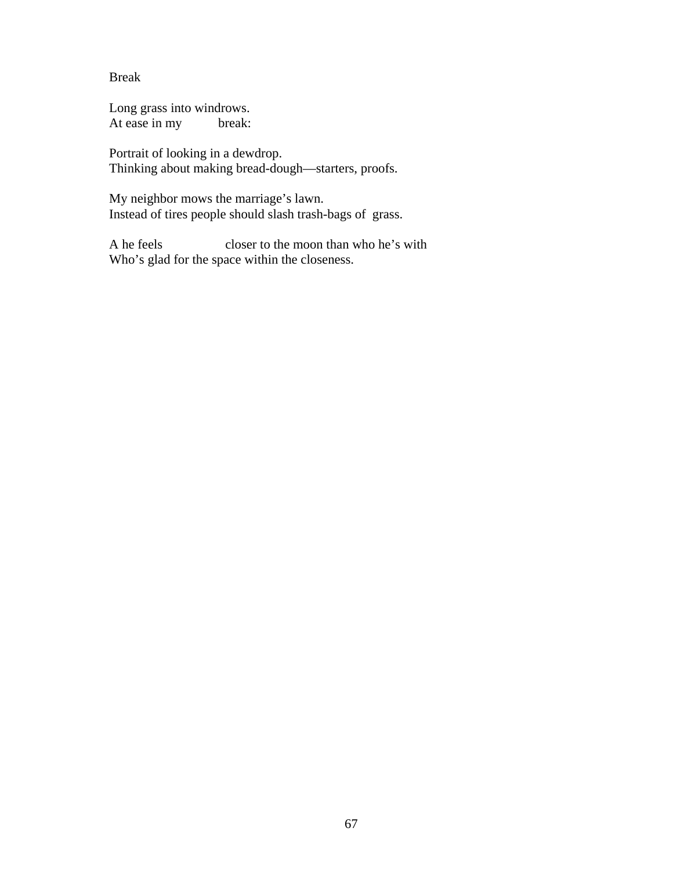Break

Long grass into windrows. At ease in my break:

Portrait of looking in a dewdrop. Thinking about making bread-dough—starters, proofs.

My neighbor mows the marriage's lawn. Instead of tires people should slash trash-bags of grass.

A he feels closer to the moon than who he's with Who's glad for the space within the closeness.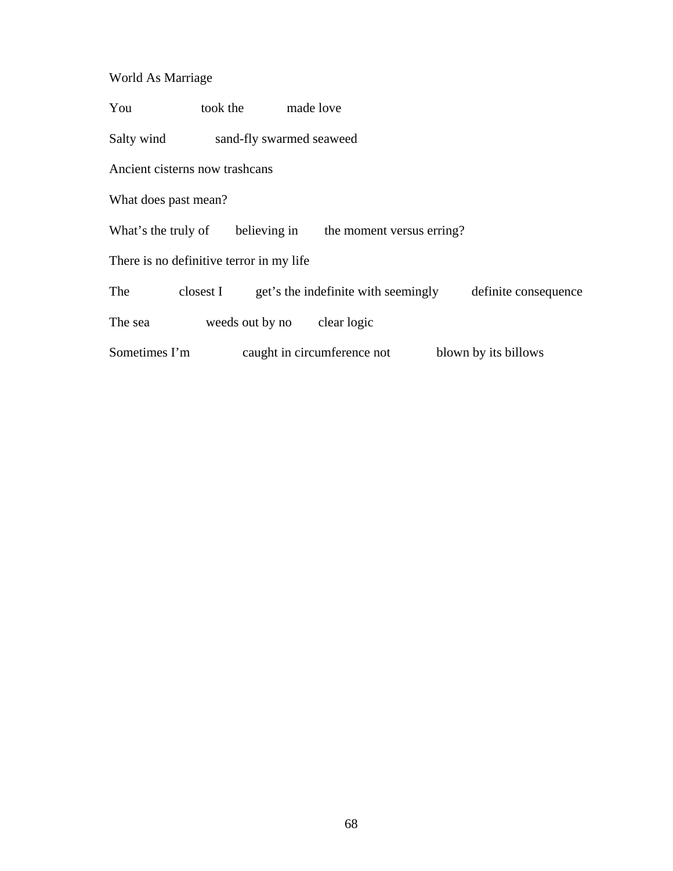# World As Marriage

You took the made love

Salty wind sand-fly swarmed seaweed

Ancient cisterns now trashcans

What does past mean?

What's the truly of believing in the moment versus erring?

There is no definitive terror in my life

| The | closest I | get's the indefinite with seemingly | definite consequence |
|-----|-----------|-------------------------------------|----------------------|
|-----|-----------|-------------------------------------|----------------------|

The sea weeds out by no clear logic

Sometimes I'm caught in circumference not blown by its billows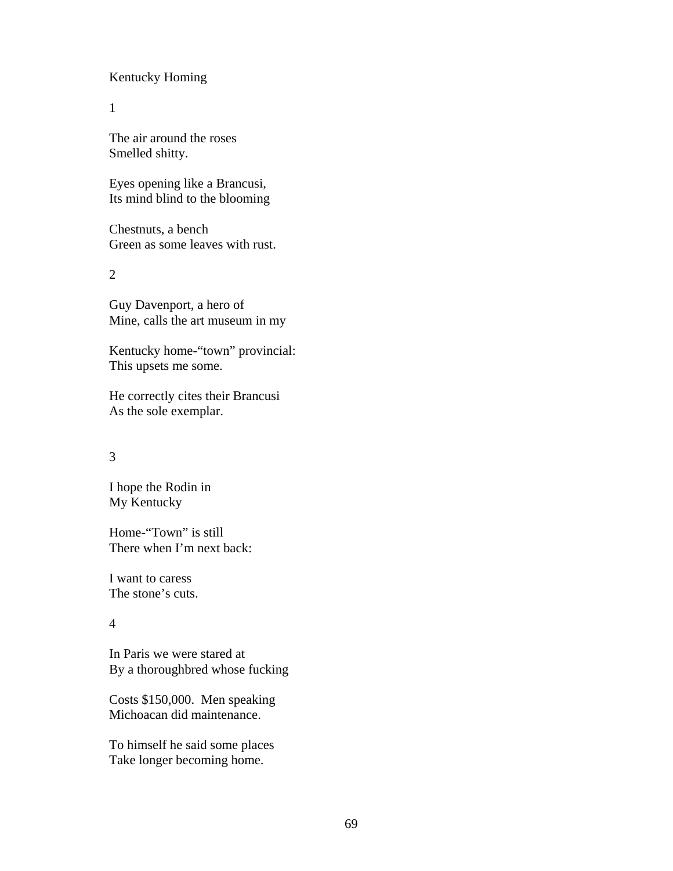### Kentucky Homing

1

The air around the roses Smelled shitty.

Eyes opening like a Brancusi, Its mind blind to the blooming

Chestnuts, a bench Green as some leaves with rust.

 $\mathcal{L}$ 

Guy Davenport, a hero of Mine, calls the art museum in my

Kentucky home-"town" provincial: This upsets me some.

He correctly cites their Brancusi As the sole exemplar.

### 3

I hope the Rodin in My Kentucky

Home-"Town" is still There when I'm next back:

I want to caress The stone's cuts.

## 4

In Paris we were stared at By a thoroughbred whose fucking

Costs \$150,000. Men speaking Michoacan did maintenance.

To himself he said some places Take longer becoming home.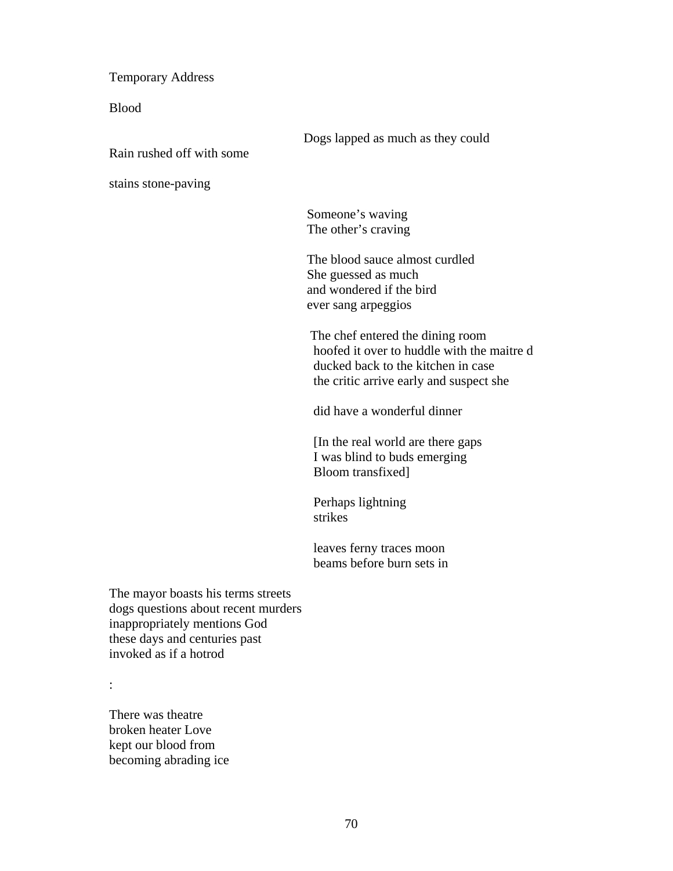Temporary Address

Blood

 Dogs lapped as much as they could Rain rushed off with some stains stone-paving Someone's waving The other's craving The blood sauce almost curdled She guessed as much and wondered if the bird ever sang arpeggios The chef entered the dining room hoofed it over to huddle with the maitre d

 ducked back to the kitchen in case the critic arrive early and suspect she

did have a wonderful dinner

 [In the real world are there gaps I was blind to buds emerging Bloom transfixed]

 Perhaps lightning strikes

 leaves ferny traces moon beams before burn sets in

The mayor boasts his terms streets dogs questions about recent murders inappropriately mentions God these days and centuries past invoked as if a hotrod

:

There was theatre broken heater Love kept our blood from becoming abrading ice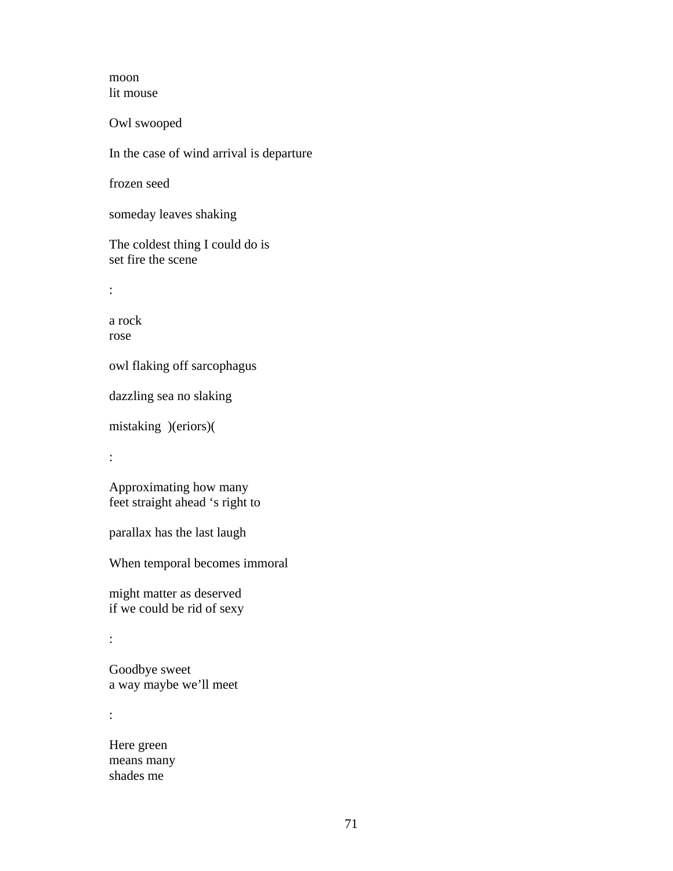moon lit mouse

Owl swooped

In the case of wind arrival is departure

frozen seed

someday leaves shaking

The coldest thing I could do is set fire the scene

:

a rock rose

owl flaking off sarcophagus

dazzling sea no slaking

mistaking )(eriors)(

:

Approximating how many feet straight ahead 's right to

parallax has the last laugh

When temporal becomes immoral

might matter as deserved if we could be rid of sexy

:

Goodbye sweet a way maybe we'll meet

:

Here green means many shades me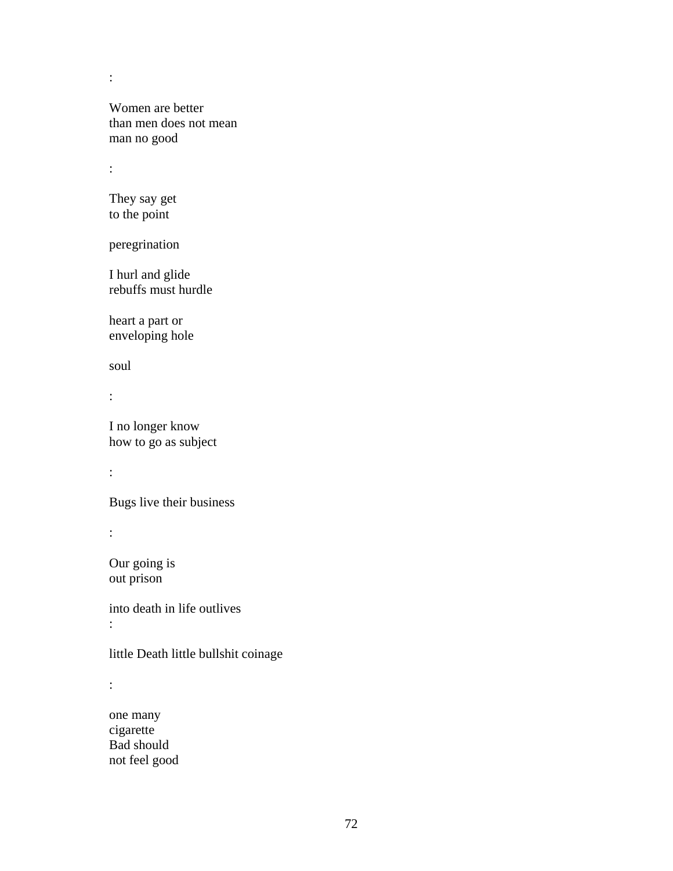Women are better than men does not mean man no good

:

:

They say get to the point

peregrination

I hurl and glide rebuffs must hurdle

heart a part or enveloping hole

soul

:

I no longer know how to go as subject

:

Bugs live their business

:

Our going is out prison

into death in life outlives :

little Death little bullshit coinage

:

one many cigarette Bad should not feel good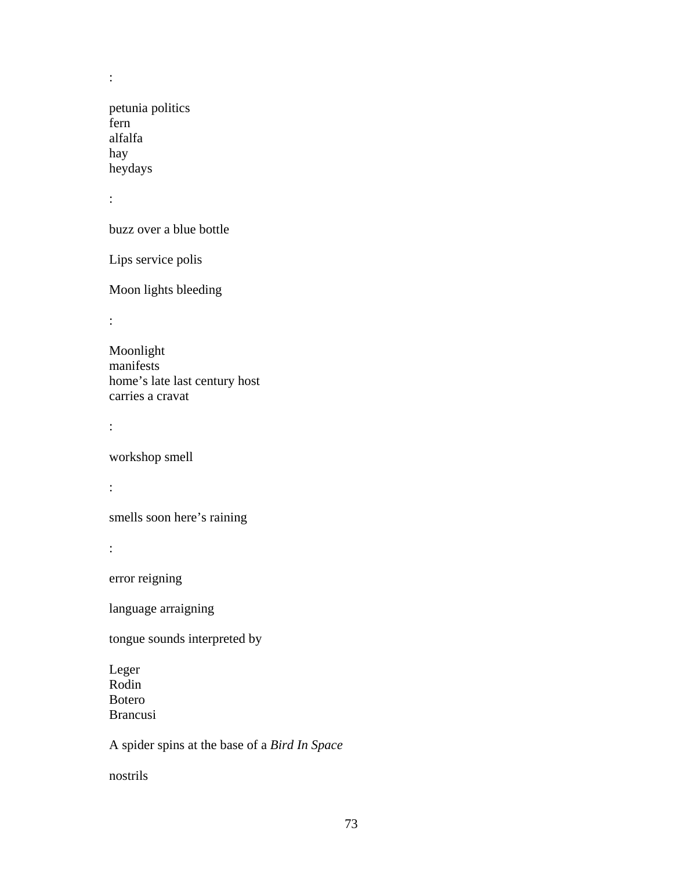petunia politics fern alfalfa hay heydays

:

:

buzz over a blue bottle

Lips service polis

Moon lights bleeding

:

Moonlight manifests home's late last century host carries a cravat

:

workshop smell

:

smells soon here's raining

:

error reigning

language arraigning

tongue sounds interpreted by

Leger Rodin Botero Brancusi

A spider spins at the base of a *Bird In Space* 

nostrils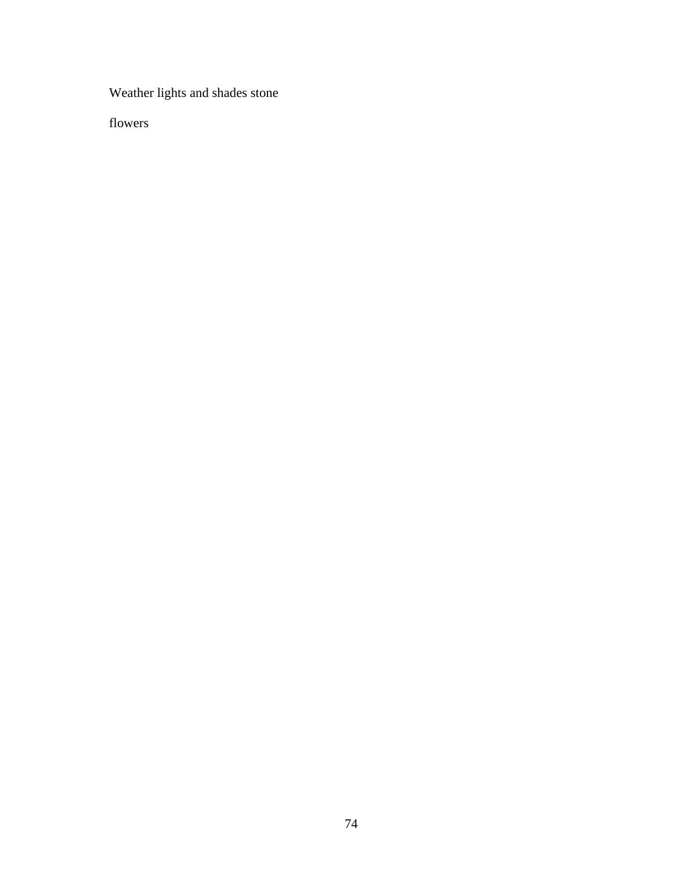Weather lights and shades stone

flowers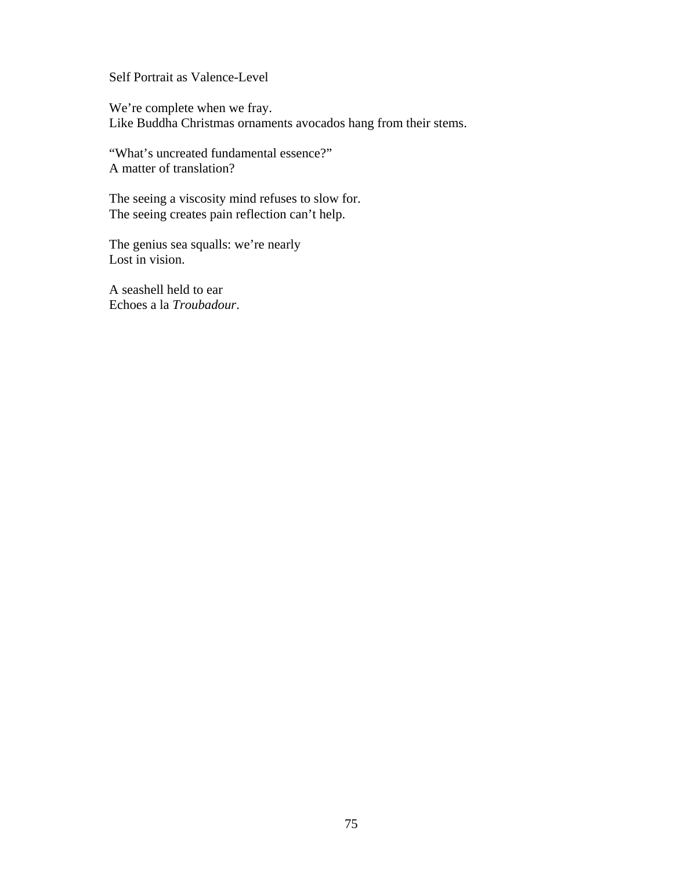Self Portrait as Valence-Level

We're complete when we fray. Like Buddha Christmas ornaments avocados hang from their stems.

"What's uncreated fundamental essence?" A matter of translation?

The seeing a viscosity mind refuses to slow for. The seeing creates pain reflection can't help.

The genius sea squalls: we're nearly Lost in vision.

A seashell held to ear Echoes a la *Troubadour*.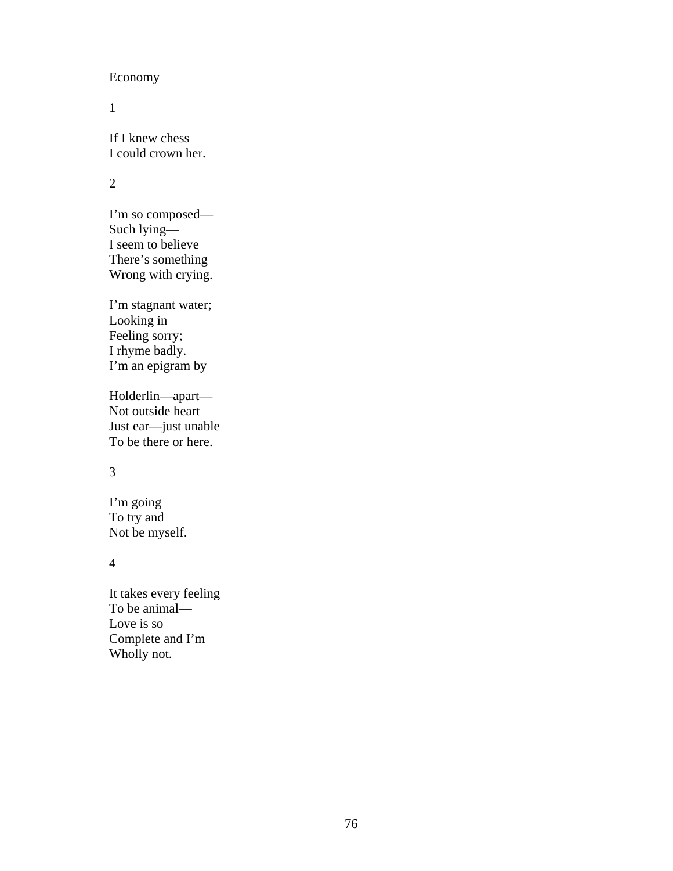### Economy

1

If I knew chess I could crown her.

# 2

I'm so composed— Such lying— I seem to believe There's something Wrong with crying.

I'm stagnant water; Looking in Feeling sorry; I rhyme badly. I'm an epigram by

Holderlin—apart— Not outside heart Just ear—just unable To be there or here.

# 3

I'm going To try and Not be myself.

4

It takes every feeling To be animal— Love is so Complete and I'm Wholly not.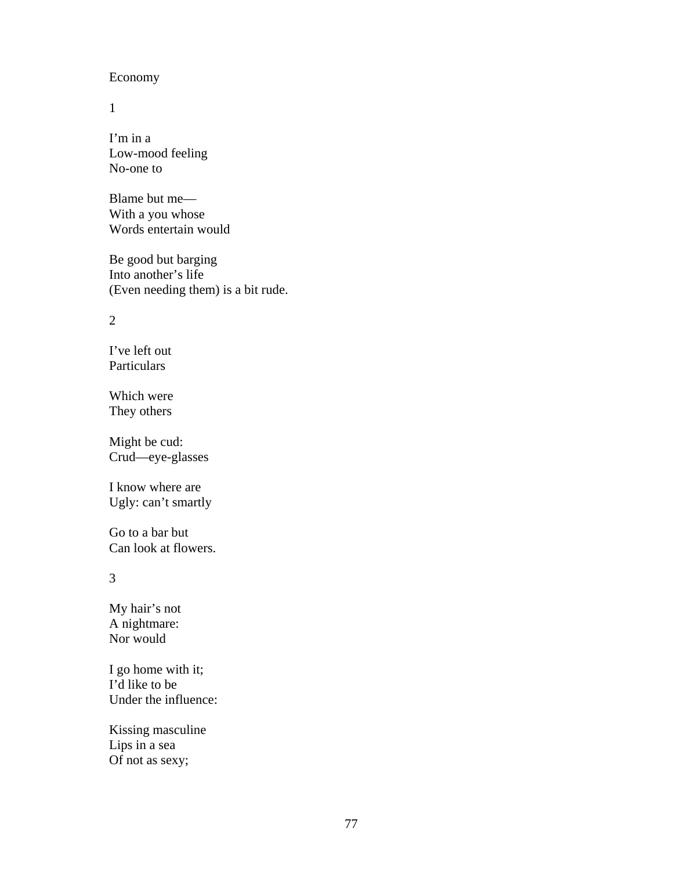#### Economy

1

I'm in a Low-mood feeling No-one to

Blame but me— With a you whose Words entertain would

Be good but barging Into another's life (Even needing them) is a bit rude.

#### 2

I've left out Particulars

Which were They others

Might be cud: Crud—eye-glasses

I know where are Ugly: can't smartly

Go to a bar but Can look at flowers.

3

My hair's not A nightmare: Nor would

I go home with it; I'd like to be Under the influence:

Kissing masculine Lips in a sea Of not as sexy;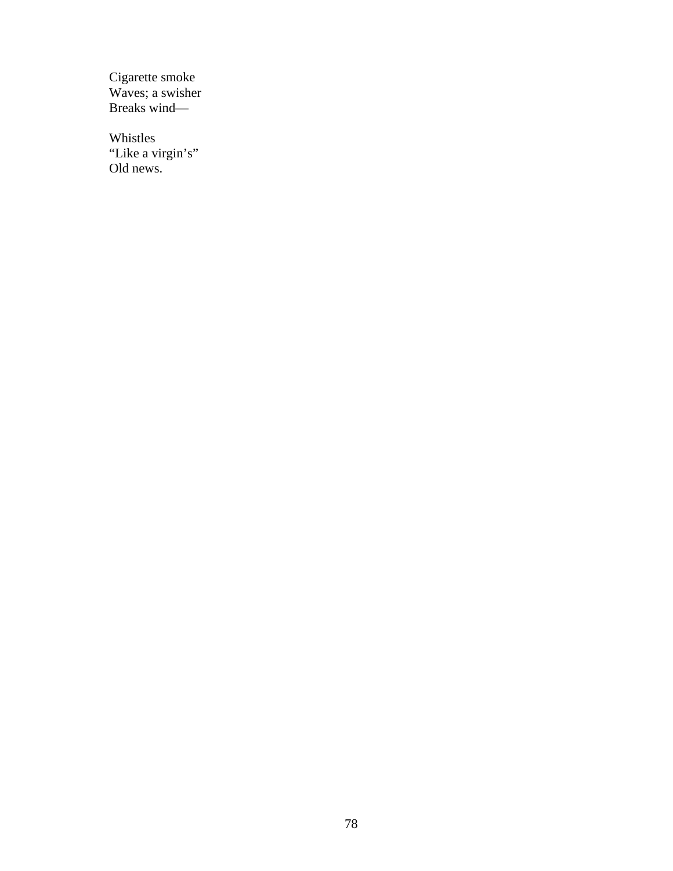Cigarette smoke Waves; a swisher Breaks wind—

Whistles "Like a virgin's" Old news.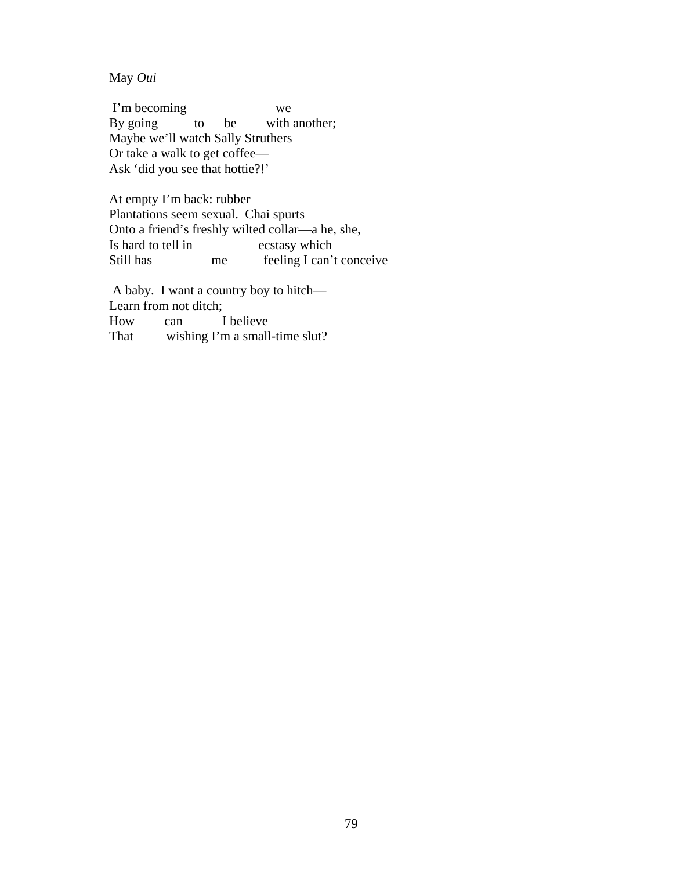May *Oui*

 I'm becoming we By going to be with another; Maybe we'll watch Sally Struthers Or take a walk to get coffee— Ask 'did you see that hottie?!'

At empty I'm back: rubber Plantations seem sexual. Chai spurts Onto a friend's freshly wilted collar—a he, she, Is hard to tell in ecstasy which Still has me feeling I can't conceive

 A baby. I want a country boy to hitch— Learn from not ditch; How can I believe That wishing I'm a small-time slut?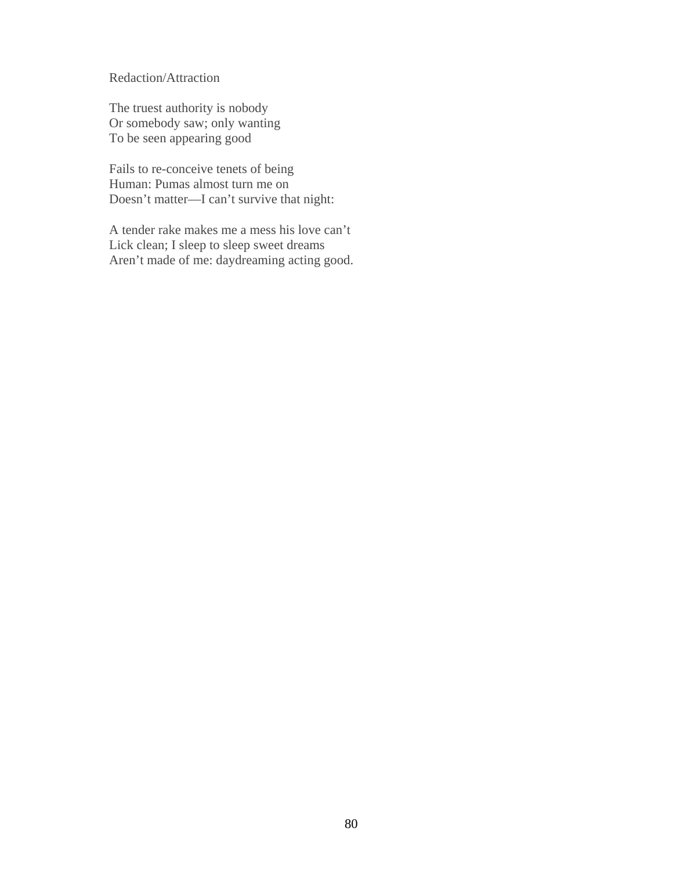Redaction/Attraction

The truest authority is nobody Or somebody saw; only wanting To be seen appearing good

Fails to re-conceive tenets of being Human: Pumas almost turn me on Doesn't matter—I can't survive that night:

A tender rake makes me a mess his love can't Lick clean; I sleep to sleep sweet dreams Aren't made of me: daydreaming acting good.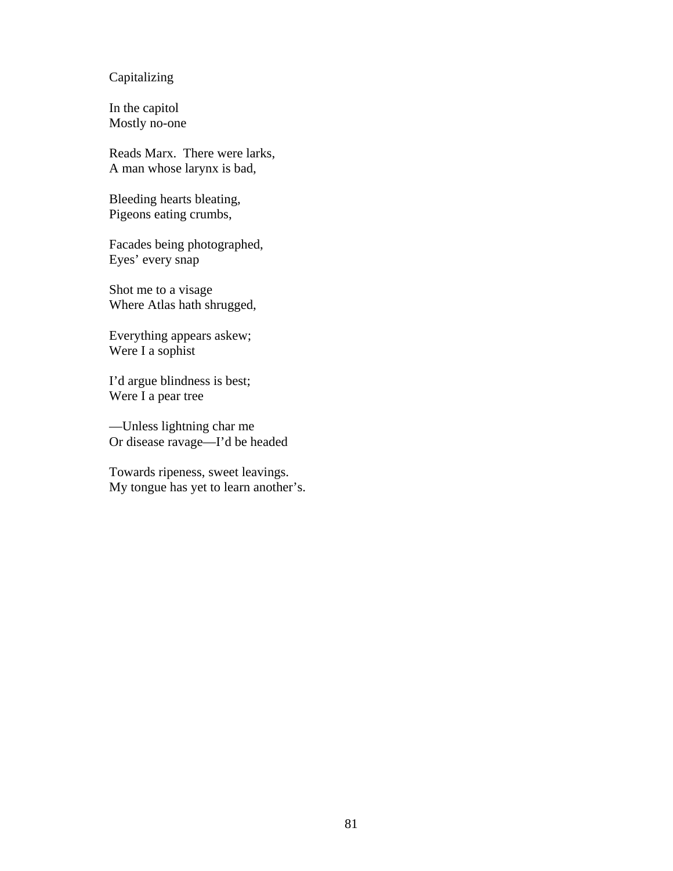## Capitalizing

In the capitol Mostly no-one

Reads Marx. There were larks, A man whose larynx is bad,

Bleeding hearts bleating, Pigeons eating crumbs,

Facades being photographed, Eyes' every snap

Shot me to a visage Where Atlas hath shrugged,

Everything appears askew; Were I a sophist

I'd argue blindness is best; Were I a pear tree

—Unless lightning char me Or disease ravage—I'd be headed

Towards ripeness, sweet leavings. My tongue has yet to learn another's.